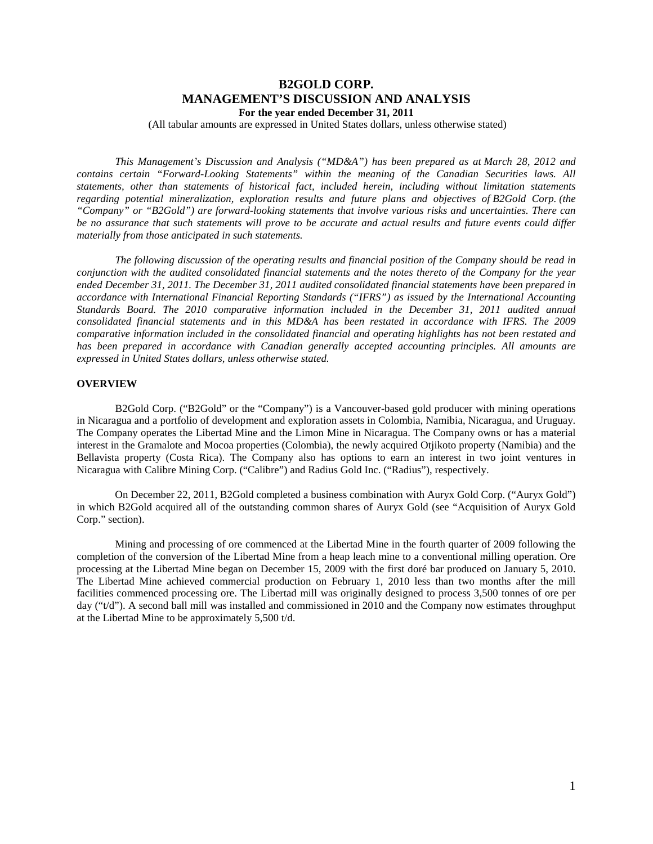# **B2GOLD CORP. MANAGEMENT'S DISCUSSION AND ANALYSIS For the year ended December 31, 2011**

(All tabular amounts are expressed in United States dollars, unless otherwise stated)

*This Management's Discussion and Analysis ("MD&A") has been prepared as at March 28, 2012 and contains certain "Forward-Looking Statements" within the meaning of the Canadian Securities laws. All statements, other than statements of historical fact, included herein, including without limitation statements regarding potential mineralization, exploration results and future plans and objectives of B2Gold Corp. (the "Company" or "B2Gold") are forward-looking statements that involve various risks and uncertainties. There can be no assurance that such statements will prove to be accurate and actual results and future events could differ materially from those anticipated in such statements.*

*The following discussion of the operating results and financial position of the Company should be read in conjunction with the audited consolidated financial statements and the notes thereto of the Company for the year ended December 31, 2011. The December 31, 2011 audited consolidated financial statements have been prepared in accordance with International Financial Reporting Standards ("IFRS") as issued by the International Accounting Standards Board. The 2010 comparative information included in the December 31, 2011 audited annual consolidated financial statements and in this MD&A has been restated in accordance with IFRS. The 2009 comparative information included in the consolidated financial and operating highlights has not been restated and has been prepared in accordance with Canadian generally accepted accounting principles. All amounts are expressed in United States dollars, unless otherwise stated.*

# **OVERVIEW**

B2Gold Corp. ("B2Gold" or the "Company") is a Vancouver-based gold producer with mining operations in Nicaragua and a portfolio of development and exploration assets in Colombia, Namibia, Nicaragua, and Uruguay. The Company operates the Libertad Mine and the Limon Mine in Nicaragua. The Company owns or has a material interest in the Gramalote and Mocoa properties (Colombia), the newly acquired Otjikoto property (Namibia) and the Bellavista property (Costa Rica). The Company also has options to earn an interest in two joint ventures in Nicaragua with Calibre Mining Corp. ("Calibre") and Radius Gold Inc. ("Radius"), respectively.

On December 22, 2011, B2Gold completed a business combination with Auryx Gold Corp. ("Auryx Gold") in which B2Gold acquired all of the outstanding common shares of Auryx Gold (see "Acquisition of Auryx Gold Corp." section).

Mining and processing of ore commenced at the Libertad Mine in the fourth quarter of 2009 following the completion of the conversion of the Libertad Mine from a heap leach mine to a conventional milling operation. Ore processing at the Libertad Mine began on December 15, 2009 with the first doré bar produced on January 5, 2010. The Libertad Mine achieved commercial production on February 1, 2010 less than two months after the mill facilities commenced processing ore. The Libertad mill was originally designed to process 3,500 tonnes of ore per day ("t/d"). A second ball mill was installed and commissioned in 2010 and the Company now estimates throughput at the Libertad Mine to be approximately 5,500 t/d.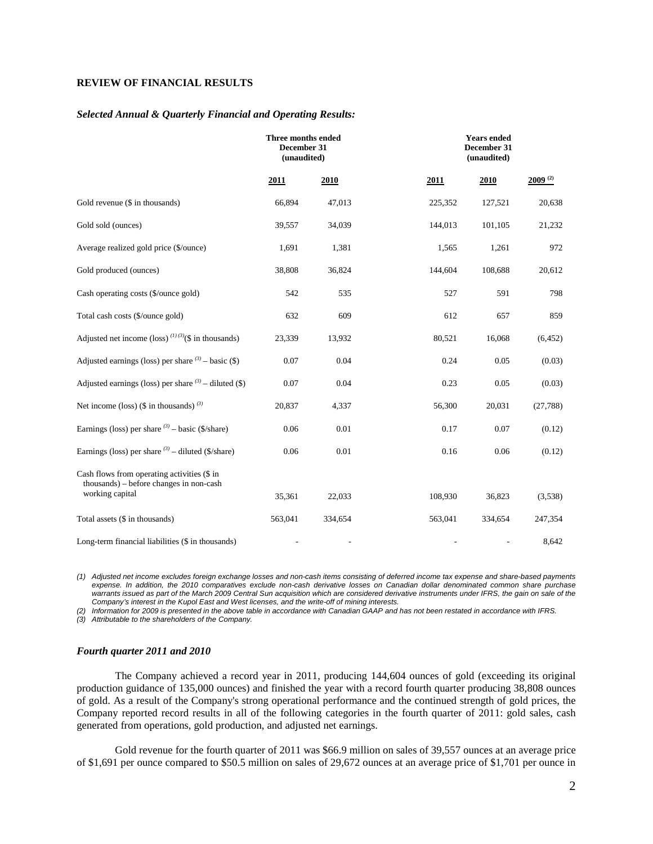# **REVIEW OF FINANCIAL RESULTS**

#### *Selected Annual & Quarterly Financial and Operating Results:*

|                                                                                                           | Three months ended<br>December 31<br>(unaudited) |          |         | <b>Years ended</b><br>December 31<br>(unaudited) |              |  |  |
|-----------------------------------------------------------------------------------------------------------|--------------------------------------------------|----------|---------|--------------------------------------------------|--------------|--|--|
|                                                                                                           | 2011                                             | 2010     | 2011    | 2010                                             | $2009^{(2)}$ |  |  |
| Gold revenue (\$ in thousands)                                                                            | 66,894                                           | 47,013   | 225,352 | 127,521                                          | 20,638       |  |  |
| Gold sold (ounces)                                                                                        | 39,557                                           | 34,039   | 144,013 | 101,105                                          | 21,232       |  |  |
| Average realized gold price (\$/ounce)                                                                    | 1,691                                            | 1,381    | 1,565   | 1,261                                            | 972          |  |  |
| Gold produced (ounces)                                                                                    | 38,808                                           | 36,824   | 144,604 | 108,688                                          | 20,612       |  |  |
| Cash operating costs (\$/ounce gold)                                                                      | 542                                              | 535      | 527     | 591                                              | 798          |  |  |
| Total cash costs (\$/ounce gold)                                                                          | 632                                              | 609      | 612     | 657                                              | 859          |  |  |
| Adjusted net income (loss) $^{(1)(3)}$ (\$ in thousands)                                                  | 23,339                                           | 13,932   | 80,521  | 16,068                                           | (6, 452)     |  |  |
| Adjusted earnings (loss) per share $(3)$ – basic (\$)                                                     | 0.07                                             | 0.04     | 0.24    | 0.05                                             | (0.03)       |  |  |
| Adjusted earnings (loss) per share $(3)$ – diluted (\$)                                                   | $0.07\,$                                         | 0.04     | 0.23    | 0.05                                             | (0.03)       |  |  |
| Net income (loss) (\$ in thousands) $(3)$                                                                 | 20,837                                           | 4,337    | 56,300  | 20,031                                           | (27,788)     |  |  |
| Earnings (loss) per share $(3)$ – basic (\$/share)                                                        | $0.06\,$                                         | $0.01\,$ | 0.17    | $0.07\,$                                         | (0.12)       |  |  |
| Earnings (loss) per share $(3)$ – diluted (\$/share)                                                      | 0.06                                             | 0.01     | 0.16    | 0.06                                             | (0.12)       |  |  |
| Cash flows from operating activities (\$ in<br>thousands) - before changes in non-cash<br>working capital |                                                  |          |         |                                                  |              |  |  |
|                                                                                                           | 35,361                                           | 22,033   | 108,930 | 36,823                                           | (3,538)      |  |  |
| Total assets (\$ in thousands)                                                                            | 563,041                                          | 334,654  | 563,041 | 334,654                                          | 247,354      |  |  |
| Long-term financial liabilities (\$ in thousands)                                                         |                                                  |          |         |                                                  | 8,642        |  |  |

*(1) Adjusted net income excludes foreign exchange losses and non-cash items consisting of deferred income tax expense and share-based payments expense. In addition, the 2010 comparatives exclude non-cash derivative losses on Canadian dollar denominated common share purchase*  warrants issued as part of the March 2009 Central Sun acquisition which are considered derivative instruments under IFRS, the gain on sale of the *Company's interest in the Kupol East and West licenses, and the write-off of mining interests.* 

*(2) Information for 2009 is presented in the above table in accordance with Canadian GAAP and has not been restated in accordance with IFRS.* 

*(3) Attributable to the shareholders of the Company.* 

## *Fourth quarter 2011 and 2010*

The Company achieved a record year in 2011, producing 144,604 ounces of gold (exceeding its original production guidance of 135,000 ounces) and finished the year with a record fourth quarter producing 38,808 ounces of gold. As a result of the Company's strong operational performance and the continued strength of gold prices, the Company reported record results in all of the following categories in the fourth quarter of 2011: gold sales, cash generated from operations, gold production, and adjusted net earnings.

Gold revenue for the fourth quarter of 2011 was \$66.9 million on sales of 39,557 ounces at an average price of \$1,691 per ounce compared to \$50.5 million on sales of 29,672 ounces at an average price of \$1,701 per ounce in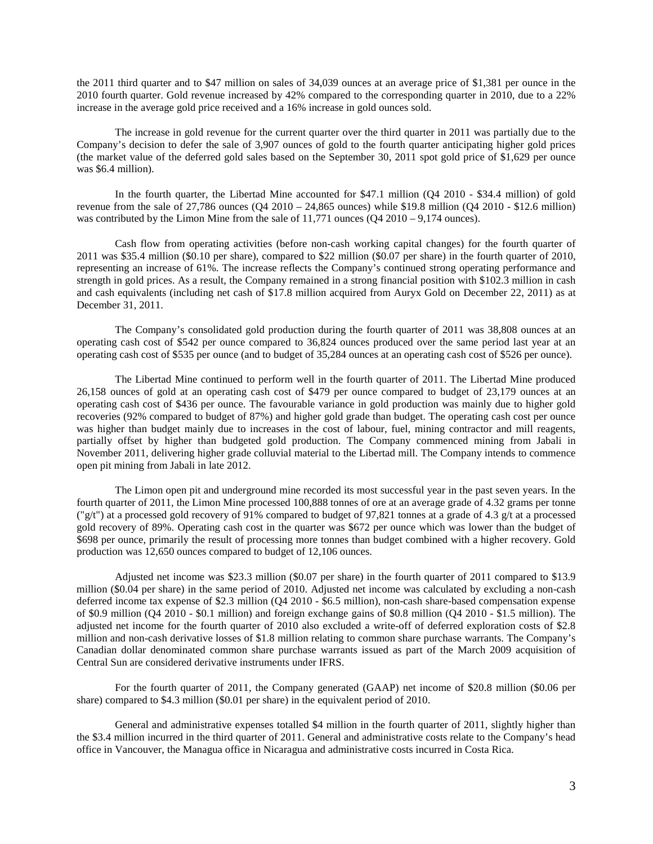the 2011 third quarter and to \$47 million on sales of 34,039 ounces at an average price of \$1,381 per ounce in the 2010 fourth quarter. Gold revenue increased by 42% compared to the corresponding quarter in 2010, due to a 22% increase in the average gold price received and a 16% increase in gold ounces sold.

The increase in gold revenue for the current quarter over the third quarter in 2011 was partially due to the Company's decision to defer the sale of 3,907 ounces of gold to the fourth quarter anticipating higher gold prices (the market value of the deferred gold sales based on the September 30, 2011 spot gold price of \$1,629 per ounce was \$6.4 million).

In the fourth quarter, the Libertad Mine accounted for \$47.1 million (Q4 2010 - \$34.4 million) of gold revenue from the sale of 27,786 ounces (Q4 2010 – 24,865 ounces) while \$19.8 million (Q4 2010 - \$12.6 million) was contributed by the Limon Mine from the sale of  $11,771$  ounces (Q4 2010 – 9,174 ounces).

Cash flow from operating activities (before non-cash working capital changes) for the fourth quarter of 2011 was \$35.4 million (\$0.10 per share), compared to \$22 million (\$0.07 per share) in the fourth quarter of 2010, representing an increase of 61%. The increase reflects the Company's continued strong operating performance and strength in gold prices. As a result, the Company remained in a strong financial position with \$102.3 million in cash and cash equivalents (including net cash of \$17.8 million acquired from Auryx Gold on December 22, 2011) as at December 31, 2011.

The Company's consolidated gold production during the fourth quarter of 2011 was 38,808 ounces at an operating cash cost of \$542 per ounce compared to 36,824 ounces produced over the same period last year at an operating cash cost of \$535 per ounce (and to budget of 35,284 ounces at an operating cash cost of \$526 per ounce).

The Libertad Mine continued to perform well in the fourth quarter of 2011. The Libertad Mine produced 26,158 ounces of gold at an operating cash cost of \$479 per ounce compared to budget of 23,179 ounces at an operating cash cost of \$436 per ounce. The favourable variance in gold production was mainly due to higher gold recoveries (92% compared to budget of 87%) and higher gold grade than budget. The operating cash cost per ounce was higher than budget mainly due to increases in the cost of labour, fuel, mining contractor and mill reagents, partially offset by higher than budgeted gold production. The Company commenced mining from Jabali in November 2011, delivering higher grade colluvial material to the Libertad mill. The Company intends to commence open pit mining from Jabali in late 2012.

The Limon open pit and underground mine recorded its most successful year in the past seven years. In the fourth quarter of 2011, the Limon Mine processed 100,888 tonnes of ore at an average grade of 4.32 grams per tonne ("g/t") at a processed gold recovery of 91% compared to budget of 97,821 tonnes at a grade of 4.3 g/t at a processed gold recovery of 89%. Operating cash cost in the quarter was \$672 per ounce which was lower than the budget of \$698 per ounce, primarily the result of processing more tonnes than budget combined with a higher recovery. Gold production was 12,650 ounces compared to budget of 12,106 ounces.

Adjusted net income was \$23.3 million (\$0.07 per share) in the fourth quarter of 2011 compared to \$13.9 million (\$0.04 per share) in the same period of 2010. Adjusted net income was calculated by excluding a non-cash deferred income tax expense of \$2.3 million (Q4 2010 - \$6.5 million), non-cash share-based compensation expense of \$0.9 million (Q4 2010 - \$0.1 million) and foreign exchange gains of \$0.8 million (Q4 2010 - \$1.5 million). The adjusted net income for the fourth quarter of 2010 also excluded a write-off of deferred exploration costs of \$2.8 million and non-cash derivative losses of \$1.8 million relating to common share purchase warrants. The Company's Canadian dollar denominated common share purchase warrants issued as part of the March 2009 acquisition of Central Sun are considered derivative instruments under IFRS.

For the fourth quarter of 2011, the Company generated (GAAP) net income of \$20.8 million (\$0.06 per share) compared to \$4.3 million (\$0.01 per share) in the equivalent period of 2010.

General and administrative expenses totalled \$4 million in the fourth quarter of 2011, slightly higher than the \$3.4 million incurred in the third quarter of 2011. General and administrative costs relate to the Company's head office in Vancouver, the Managua office in Nicaragua and administrative costs incurred in Costa Rica.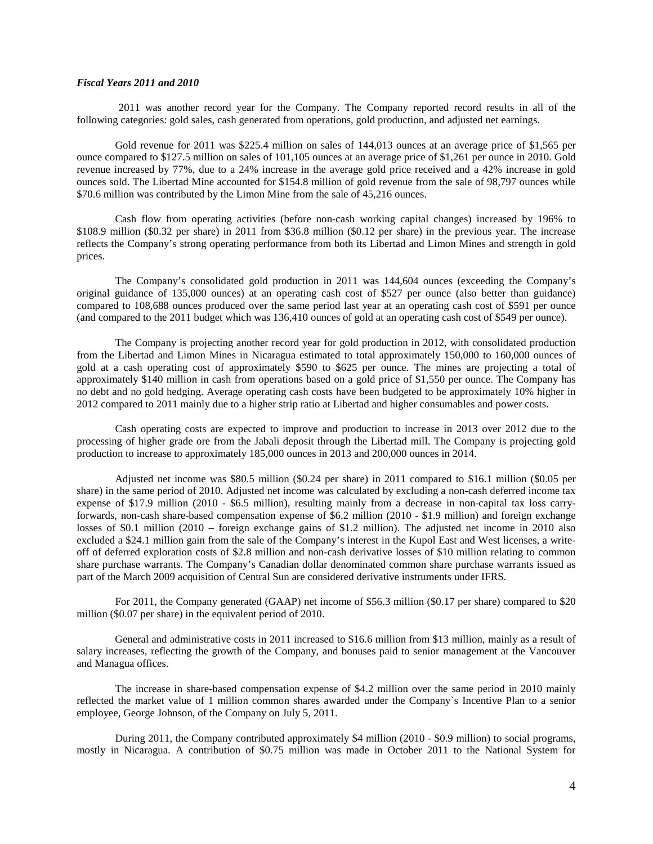## *Fiscal Years 2011 and 2010*

2011 was another record year for the Company. The Company reported record results in all of the following categories: gold sales, cash generated from operations, gold production, and adjusted net earnings.

Gold revenue for 2011 was \$225.4 million on sales of 144,013 ounces at an average price of \$1,565 per ounce compared to \$127.5 million on sales of 101,105 ounces at an average price of \$1,261 per ounce in 2010. Gold revenue increased by 77%, due to a 24% increase in the average gold price received and a 42% increase in gold ounces sold. The Libertad Mine accounted for \$154.8 million of gold revenue from the sale of 98,797 ounces while \$70.6 million was contributed by the Limon Mine from the sale of 45,216 ounces.

Cash flow from operating activities (before non-cash working capital changes) increased by 196% to \$108.9 million (\$0.32 per share) in 2011 from \$36.8 million (\$0.12 per share) in the previous year. The increase reflects the Company's strong operating performance from both its Libertad and Limon Mines and strength in gold prices.

The Company's consolidated gold production in 2011 was 144,604 ounces (exceeding the Company's original guidance of 135,000 ounces) at an operating cash cost of \$527 per ounce (also better than guidance) compared to 108,688 ounces produced over the same period last year at an operating cash cost of \$591 per ounce (and compared to the 2011 budget which was 136,410 ounces of gold at an operating cash cost of \$549 per ounce).

The Company is projecting another record year for gold production in 2012, with consolidated production from the Libertad and Limon Mines in Nicaragua estimated to total approximately 150,000 to 160,000 ounces of gold at a cash operating cost of approximately \$590 to \$625 per ounce. The mines are projecting a total of approximately \$140 million in cash from operations based on a gold price of \$1,550 per ounce. The Company has no debt and no gold hedging. Average operating cash costs have been budgeted to be approximately 10% higher in 2012 compared to 2011 mainly due to a higher strip ratio at Libertad and higher consumables and power costs.

Cash operating costs are expected to improve and production to increase in 2013 over 2012 due to the processing of higher grade ore from the Jabali deposit through the Libertad mill. The Company is projecting gold production to increase to approximately 185,000 ounces in 2013 and 200,000 ounces in 2014.

Adjusted net income was \$80.5 million (\$0.24 per share) in 2011 compared to \$16.1 million (\$0.05 per share) in the same period of 2010. Adjusted net income was calculated by excluding a non-cash deferred income tax expense of \$17.9 million (2010 - \$6.5 million), resulting mainly from a decrease in non-capital tax loss carryforwards, non-cash share-based compensation expense of \$6.2 million (2010 - \$1.9 million) and foreign exchange losses of \$0.1 million (2010 – foreign exchange gains of \$1.2 million). The adjusted net income in 2010 also excluded a \$24.1 million gain from the sale of the Company's interest in the Kupol East and West licenses, a writeoff of deferred exploration costs of \$2.8 million and non-cash derivative losses of \$10 million relating to common share purchase warrants. The Company's Canadian dollar denominated common share purchase warrants issued as part of the March 2009 acquisition of Central Sun are considered derivative instruments under IFRS.

For 2011, the Company generated (GAAP) net income of \$56.3 million (\$0.17 per share) compared to \$20 million (\$0.07 per share) in the equivalent period of 2010.

General and administrative costs in 2011 increased to \$16.6 million from \$13 million, mainly as a result of salary increases, reflecting the growth of the Company, and bonuses paid to senior management at the Vancouver and Managua offices.

The increase in share-based compensation expense of \$4.2 million over the same period in 2010 mainly reflected the market value of 1 million common shares awarded under the Company`s Incentive Plan to a senior employee, George Johnson, of the Company on July 5, 2011.

During 2011, the Company contributed approximately \$4 million (2010 - \$0.9 million) to social programs, mostly in Nicaragua. A contribution of \$0.75 million was made in October 2011 to the National System for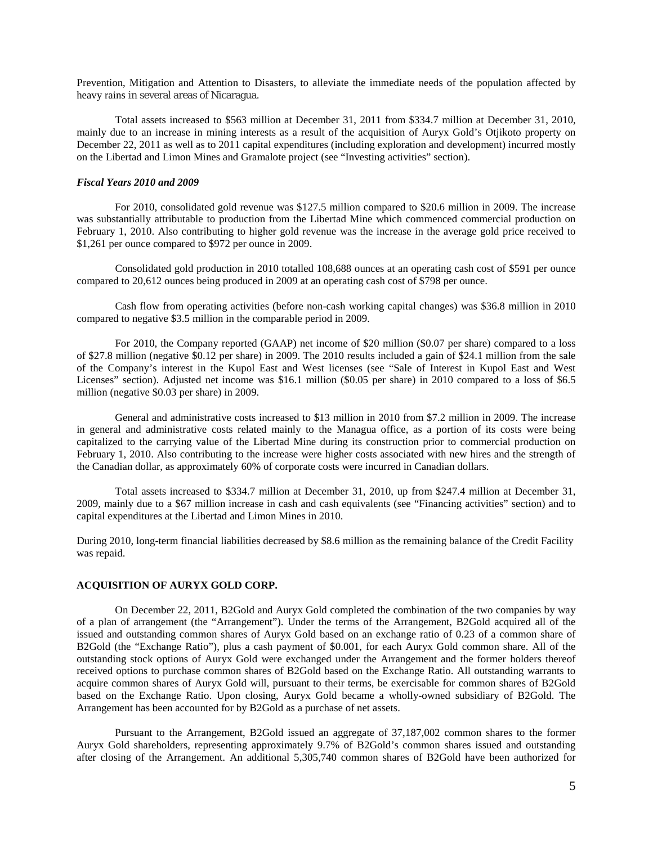Prevention, Mitigation and Attention to Disasters, to alleviate the immediate needs of the population affected by heavy rains in several areas of Nicaragua.

Total assets increased to \$563 million at December 31, 2011 from \$334.7 million at December 31, 2010, mainly due to an increase in mining interests as a result of the acquisition of Auryx Gold's Otjikoto property on December 22, 2011 as well as to 2011 capital expenditures (including exploration and development) incurred mostly on the Libertad and Limon Mines and Gramalote project (see "Investing activities" section).

## *Fiscal Years 2010 and 2009*

For 2010, consolidated gold revenue was \$127.5 million compared to \$20.6 million in 2009. The increase was substantially attributable to production from the Libertad Mine which commenced commercial production on February 1, 2010. Also contributing to higher gold revenue was the increase in the average gold price received to \$1,261 per ounce compared to \$972 per ounce in 2009.

Consolidated gold production in 2010 totalled 108,688 ounces at an operating cash cost of \$591 per ounce compared to 20,612 ounces being produced in 2009 at an operating cash cost of \$798 per ounce.

Cash flow from operating activities (before non-cash working capital changes) was \$36.8 million in 2010 compared to negative \$3.5 million in the comparable period in 2009.

For 2010, the Company reported (GAAP) net income of \$20 million (\$0.07 per share) compared to a loss of \$27.8 million (negative \$0.12 per share) in 2009. The 2010 results included a gain of \$24.1 million from the sale of the Company's interest in the Kupol East and West licenses (see "Sale of Interest in Kupol East and West Licenses" section). Adjusted net income was \$16.1 million (\$0.05 per share) in 2010 compared to a loss of \$6.5 million (negative \$0.03 per share) in 2009.

General and administrative costs increased to \$13 million in 2010 from \$7.2 million in 2009. The increase in general and administrative costs related mainly to the Managua office, as a portion of its costs were being capitalized to the carrying value of the Libertad Mine during its construction prior to commercial production on February 1, 2010. Also contributing to the increase were higher costs associated with new hires and the strength of the Canadian dollar, as approximately 60% of corporate costs were incurred in Canadian dollars.

Total assets increased to \$334.7 million at December 31, 2010, up from \$247.4 million at December 31, 2009, mainly due to a \$67 million increase in cash and cash equivalents (see "Financing activities" section) and to capital expenditures at the Libertad and Limon Mines in 2010.

During 2010, long-term financial liabilities decreased by \$8.6 million as the remaining balance of the Credit Facility was repaid.

#### **ACQUISITION OF AURYX GOLD CORP.**

On December 22, 2011, B2Gold and Auryx Gold completed the combination of the two companies by way of a plan of arrangement (the "Arrangement"). Under the terms of the Arrangement, B2Gold acquired all of the issued and outstanding common shares of Auryx Gold based on an exchange ratio of 0.23 of a common share of B2Gold (the "Exchange Ratio"), plus a cash payment of \$0.001, for each Auryx Gold common share. All of the outstanding stock options of Auryx Gold were exchanged under the Arrangement and the former holders thereof received options to purchase common shares of B2Gold based on the Exchange Ratio. All outstanding warrants to acquire common shares of Auryx Gold will, pursuant to their terms, be exercisable for common shares of B2Gold based on the Exchange Ratio. Upon closing, Auryx Gold became a wholly-owned subsidiary of B2Gold. The Arrangement has been accounted for by B2Gold as a purchase of net assets.

Pursuant to the Arrangement, B2Gold issued an aggregate of 37,187,002 common shares to the former Auryx Gold shareholders, representing approximately 9.7% of B2Gold's common shares issued and outstanding after closing of the Arrangement. An additional 5,305,740 common shares of B2Gold have been authorized for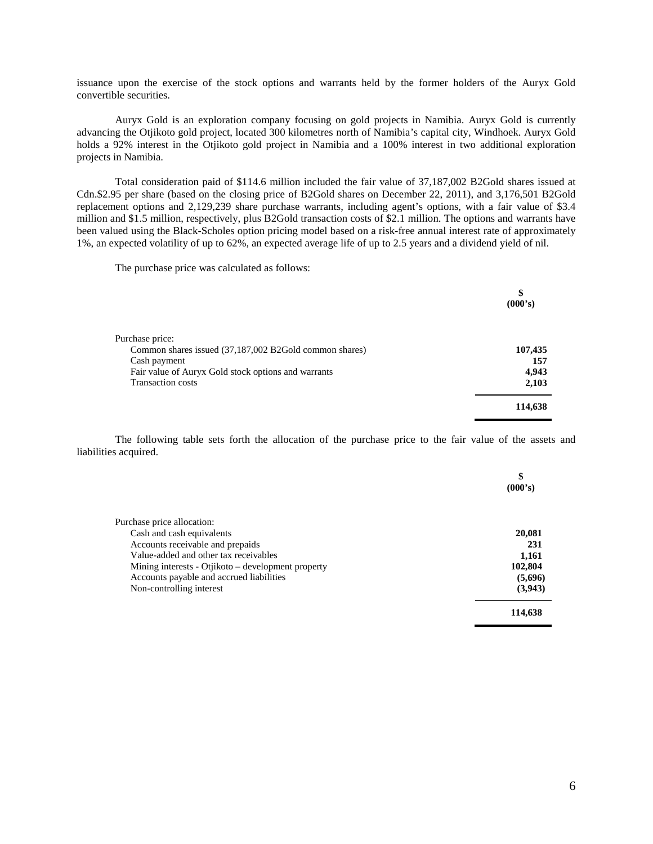issuance upon the exercise of the stock options and warrants held by the former holders of the Auryx Gold convertible securities.

Auryx Gold is an exploration company focusing on gold projects in Namibia. Auryx Gold is currently advancing the Otjikoto gold project, located 300 kilometres north of Namibia's capital city, Windhoek. Auryx Gold holds a 92% interest in the Otjikoto gold project in Namibia and a 100% interest in two additional exploration projects in Namibia.

Total consideration paid of \$114.6 million included the fair value of 37,187,002 B2Gold shares issued at Cdn.\$2.95 per share (based on the closing price of B2Gold shares on December 22, 2011), and 3,176,501 B2Gold replacement options and 2,129,239 share purchase warrants, including agent's options, with a fair value of \$3.4 million and \$1.5 million, respectively, plus B2Gold transaction costs of \$2.1 million. The options and warrants have been valued using the Black-Scholes option pricing model based on a risk-free annual interest rate of approximately 1%, an expected volatility of up to 62%, an expected average life of up to 2.5 years and a dividend yield of nil.

The purchase price was calculated as follows:

|                                                        | \$<br>(000's) |
|--------------------------------------------------------|---------------|
|                                                        |               |
| Purchase price:                                        |               |
| Common shares issued (37,187,002 B2Gold common shares) | 107,435       |
| Cash payment                                           | 157           |
| Fair value of Auryx Gold stock options and warrants    | 4,943         |
| <b>Transaction costs</b>                               | 2,103         |
|                                                        | 114,638       |

The following table sets forth the allocation of the purchase price to the fair value of the assets and liabilities acquired.

|                                                    | \$<br>(000's) |
|----------------------------------------------------|---------------|
| Purchase price allocation:                         |               |
| Cash and cash equivalents                          | 20,081        |
| Accounts receivable and prepaids                   | 231           |
| Value-added and other tax receivables              | 1,161         |
| Mining interests - Otjikoto – development property | 102,804       |
| Accounts payable and accrued liabilities           | (5,696)       |
| Non-controlling interest                           | (3,943)       |
|                                                    | 114,638       |
|                                                    |               |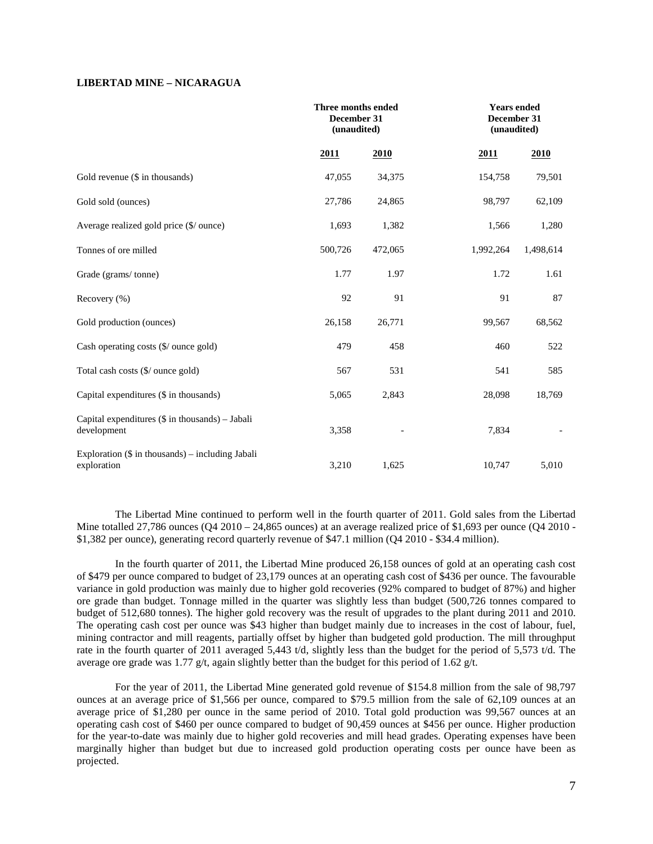# **LIBERTAD MINE – NICARAGUA**

|                                                                   | Three months ended<br>December 31 | (unaudited) |             | <b>Years ended</b><br>December 31<br>(unaudited) |  |  |
|-------------------------------------------------------------------|-----------------------------------|-------------|-------------|--------------------------------------------------|--|--|
|                                                                   | 2011                              | 2010        | <u>2011</u> | <b>2010</b>                                      |  |  |
| Gold revenue (\$ in thousands)                                    | 47,055                            | 34,375      | 154,758     | 79,501                                           |  |  |
| Gold sold (ounces)                                                | 27,786                            | 24,865      | 98,797      | 62,109                                           |  |  |
| Average realized gold price (\$/ ounce)                           | 1,693                             | 1,382       | 1,566       | 1,280                                            |  |  |
| Tonnes of ore milled                                              | 500,726                           | 472,065     | 1,992,264   | 1,498,614                                        |  |  |
| Grade (grams/tonne)                                               | 1.77                              | 1.97        | 1.72        | 1.61                                             |  |  |
| Recovery (%)                                                      | 92                                | 91          | 91          | 87                                               |  |  |
| Gold production (ounces)                                          | 26,158                            | 26,771      | 99,567      | 68,562                                           |  |  |
| Cash operating costs (\$/ ounce gold)                             | 479                               | 458         | 460         | 522                                              |  |  |
| Total cash costs (\$/ ounce gold)                                 | 567                               | 531         | 541         | 585                                              |  |  |
| Capital expenditures (\$ in thousands)                            | 5,065                             | 2,843       | 28,098      | 18,769                                           |  |  |
| Capital expenditures $(\$$ in thousands) – Jabali<br>development  | 3,358                             |             | 7,834       |                                                  |  |  |
| Exploration $(\$$ in thousands) – including Jabali<br>exploration | 3,210                             | 1,625       | 10,747      | 5,010                                            |  |  |

The Libertad Mine continued to perform well in the fourth quarter of 2011. Gold sales from the Libertad Mine totalled  $27,786$  ounces  $(Q4\ 2010 - 24,865$  ounces) at an average realized price of \$1,693 per ounce  $(Q4\ 2010 -$ \$1,382 per ounce), generating record quarterly revenue of \$47.1 million (Q4 2010 - \$34.4 million).

In the fourth quarter of 2011, the Libertad Mine produced 26,158 ounces of gold at an operating cash cost of \$479 per ounce compared to budget of 23,179 ounces at an operating cash cost of \$436 per ounce. The favourable variance in gold production was mainly due to higher gold recoveries (92% compared to budget of 87%) and higher ore grade than budget. Tonnage milled in the quarter was slightly less than budget (500,726 tonnes compared to budget of 512,680 tonnes). The higher gold recovery was the result of upgrades to the plant during 2011 and 2010. The operating cash cost per ounce was \$43 higher than budget mainly due to increases in the cost of labour, fuel, mining contractor and mill reagents, partially offset by higher than budgeted gold production. The mill throughput rate in the fourth quarter of 2011 averaged 5,443 t/d, slightly less than the budget for the period of 5,573 t/d. The average ore grade was 1.77 g/t, again slightly better than the budget for this period of 1.62 g/t.

For the year of 2011, the Libertad Mine generated gold revenue of \$154.8 million from the sale of 98,797 ounces at an average price of \$1,566 per ounce, compared to \$79.5 million from the sale of 62,109 ounces at an average price of \$1,280 per ounce in the same period of 2010. Total gold production was 99,567 ounces at an operating cash cost of \$460 per ounce compared to budget of 90,459 ounces at \$456 per ounce. Higher production for the year-to-date was mainly due to higher gold recoveries and mill head grades. Operating expenses have been marginally higher than budget but due to increased gold production operating costs per ounce have been as projected.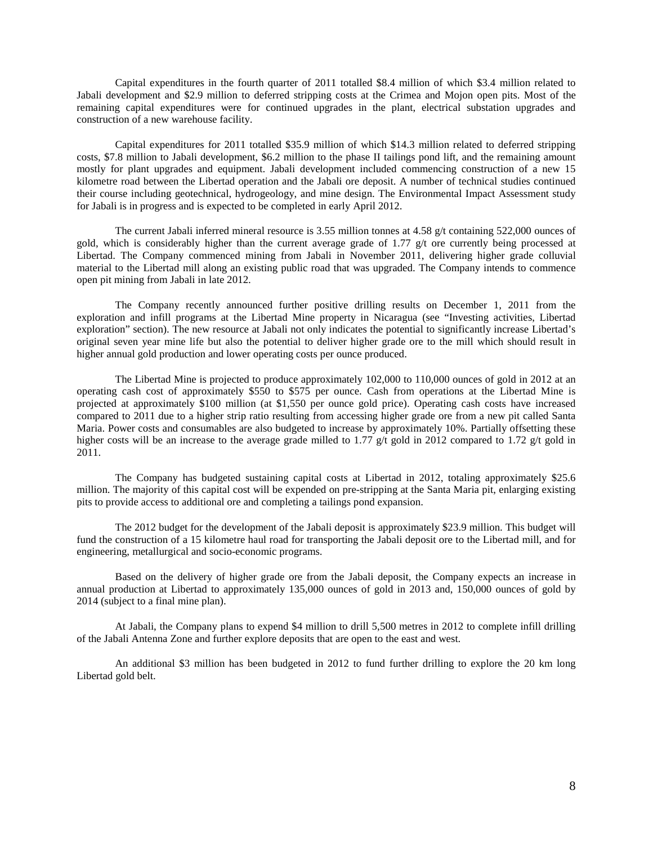Capital expenditures in the fourth quarter of 2011 totalled \$8.4 million of which \$3.4 million related to Jabali development and \$2.9 million to deferred stripping costs at the Crimea and Mojon open pits. Most of the remaining capital expenditures were for continued upgrades in the plant, electrical substation upgrades and construction of a new warehouse facility.

Capital expenditures for 2011 totalled \$35.9 million of which \$14.3 million related to deferred stripping costs, \$7.8 million to Jabali development, \$6.2 million to the phase II tailings pond lift, and the remaining amount mostly for plant upgrades and equipment. Jabali development included commencing construction of a new 15 kilometre road between the Libertad operation and the Jabali ore deposit. A number of technical studies continued their course including geotechnical, hydrogeology, and mine design. The Environmental Impact Assessment study for Jabali is in progress and is expected to be completed in early April 2012.

The current Jabali inferred mineral resource is 3.55 million tonnes at 4.58 g/t containing 522,000 ounces of gold, which is considerably higher than the current average grade of 1.77 g/t ore currently being processed at Libertad. The Company commenced mining from Jabali in November 2011, delivering higher grade colluvial material to the Libertad mill along an existing public road that was upgraded. The Company intends to commence open pit mining from Jabali in late 2012.

The Company recently announced further positive drilling results on December 1, 2011 from the exploration and infill programs at the Libertad Mine property in Nicaragua (see "Investing activities, Libertad exploration" section). The new resource at Jabali not only indicates the potential to significantly increase Libertad's original seven year mine life but also the potential to deliver higher grade ore to the mill which should result in higher annual gold production and lower operating costs per ounce produced.

The Libertad Mine is projected to produce approximately 102,000 to 110,000 ounces of gold in 2012 at an operating cash cost of approximately \$550 to \$575 per ounce. Cash from operations at the Libertad Mine is projected at approximately \$100 million (at \$1,550 per ounce gold price). Operating cash costs have increased compared to 2011 due to a higher strip ratio resulting from accessing higher grade ore from a new pit called Santa Maria. Power costs and consumables are also budgeted to increase by approximately 10%. Partially offsetting these higher costs will be an increase to the average grade milled to 1.77 g/t gold in 2012 compared to 1.72 g/t gold in 2011.

The Company has budgeted sustaining capital costs at Libertad in 2012, totaling approximately \$25.6 million. The majority of this capital cost will be expended on pre-stripping at the Santa Maria pit, enlarging existing pits to provide access to additional ore and completing a tailings pond expansion.

The 2012 budget for the development of the Jabali deposit is approximately \$23.9 million. This budget will fund the construction of a 15 kilometre haul road for transporting the Jabali deposit ore to the Libertad mill, and for engineering, metallurgical and socio-economic programs.

Based on the delivery of higher grade ore from the Jabali deposit, the Company expects an increase in annual production at Libertad to approximately 135,000 ounces of gold in 2013 and, 150,000 ounces of gold by 2014 (subject to a final mine plan).

At Jabali, the Company plans to expend \$4 million to drill 5,500 metres in 2012 to complete infill drilling of the Jabali Antenna Zone and further explore deposits that are open to the east and west.

An additional \$3 million has been budgeted in 2012 to fund further drilling to explore the 20 km long Libertad gold belt.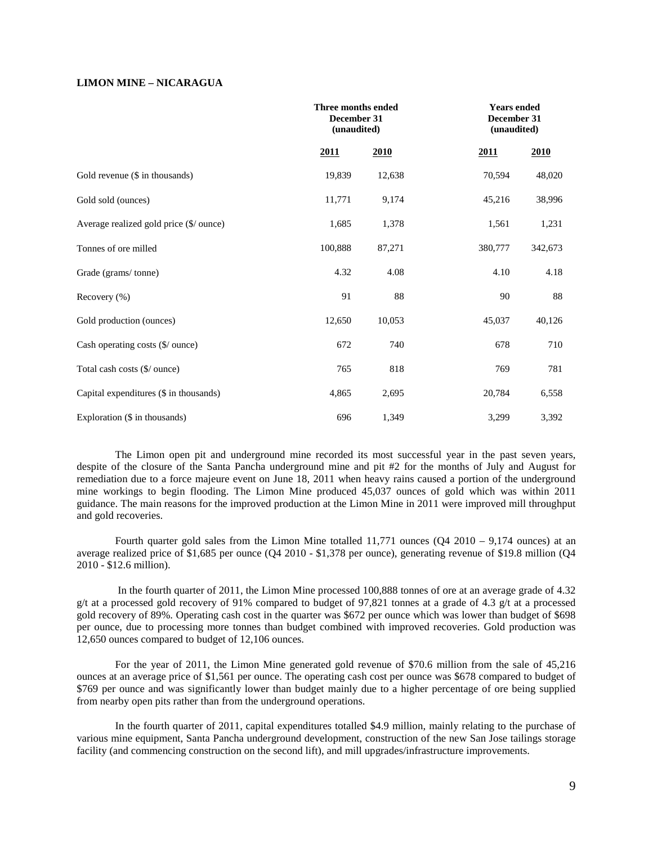# **LIMON MINE – NICARAGUA**

|                                         |         | Three months ended<br>December 31<br>(unaudited) |         | <b>Years ended</b><br>December 31<br>(unaudited) |  |
|-----------------------------------------|---------|--------------------------------------------------|---------|--------------------------------------------------|--|
|                                         | 2011    | 2010                                             | 2011    | 2010                                             |  |
| Gold revenue (\$ in thousands)          | 19,839  | 12,638                                           | 70,594  | 48,020                                           |  |
| Gold sold (ounces)                      | 11,771  | 9,174                                            | 45,216  | 38,996                                           |  |
| Average realized gold price (\$/ ounce) | 1,685   | 1,378                                            | 1,561   | 1,231                                            |  |
| Tonnes of ore milled                    | 100,888 | 87,271                                           | 380,777 | 342,673                                          |  |
| Grade (grams/tonne)                     | 4.32    | 4.08                                             | 4.10    | 4.18                                             |  |
| Recovery $(\% )$                        | 91      | 88                                               | 90      | $88\,$                                           |  |
| Gold production (ounces)                | 12,650  | 10,053                                           | 45,037  | 40,126                                           |  |
| Cash operating costs (\$/ ounce)        | 672     | 740                                              | 678     | 710                                              |  |
| Total cash costs (\$/ ounce)            | 765     | 818                                              | 769     | 781                                              |  |
| Capital expenditures (\$ in thousands)  | 4,865   | 2,695                                            | 20,784  | 6,558                                            |  |
| Exploration (\$ in thousands)           | 696     | 1,349                                            | 3,299   | 3,392                                            |  |

The Limon open pit and underground mine recorded its most successful year in the past seven years, despite of the closure of the Santa Pancha underground mine and pit #2 for the months of July and August for remediation due to a force majeure event on June 18, 2011 when heavy rains caused a portion of the underground mine workings to begin flooding. The Limon Mine produced 45,037 ounces of gold which was within 2011 guidance. The main reasons for the improved production at the Limon Mine in 2011 were improved mill throughput and gold recoveries.

Fourth quarter gold sales from the Limon Mine totalled  $11,771$  ounces (Q4 2010 – 9,174 ounces) at an average realized price of \$1,685 per ounce (Q4 2010 - \$1,378 per ounce), generating revenue of \$19.8 million (Q4 2010 - \$12.6 million).

In the fourth quarter of 2011, the Limon Mine processed 100,888 tonnes of ore at an average grade of 4.32 g/t at a processed gold recovery of 91% compared to budget of 97,821 tonnes at a grade of 4.3 g/t at a processed gold recovery of 89%. Operating cash cost in the quarter was \$672 per ounce which was lower than budget of \$698 per ounce, due to processing more tonnes than budget combined with improved recoveries. Gold production was 12,650 ounces compared to budget of 12,106 ounces.

For the year of 2011, the Limon Mine generated gold revenue of \$70.6 million from the sale of 45,216 ounces at an average price of \$1,561 per ounce. The operating cash cost per ounce was \$678 compared to budget of \$769 per ounce and was significantly lower than budget mainly due to a higher percentage of ore being supplied from nearby open pits rather than from the underground operations.

In the fourth quarter of 2011, capital expenditures totalled \$4.9 million, mainly relating to the purchase of various mine equipment, Santa Pancha underground development, construction of the new San Jose tailings storage facility (and commencing construction on the second lift), and mill upgrades/infrastructure improvements.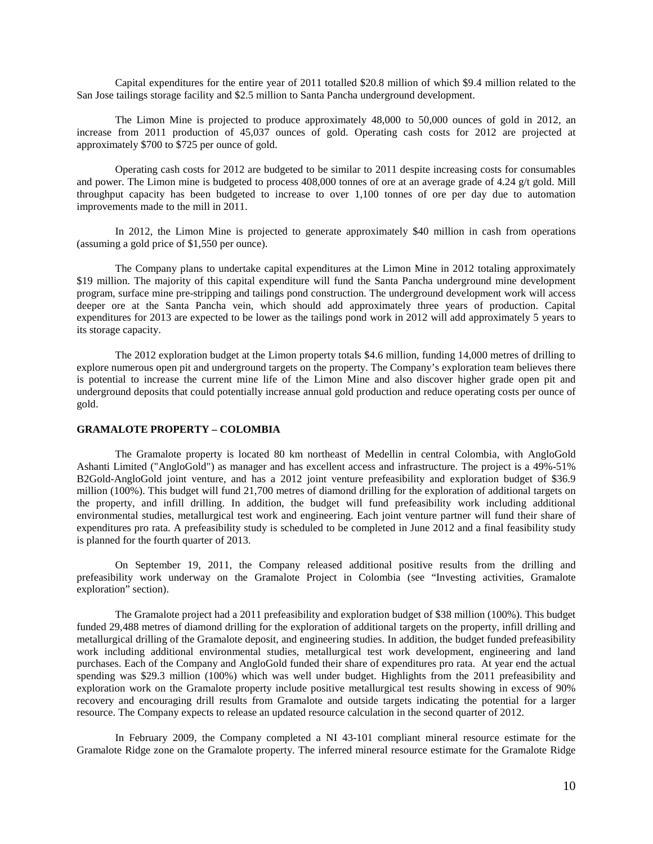Capital expenditures for the entire year of 2011 totalled \$20.8 million of which \$9.4 million related to the San Jose tailings storage facility and \$2.5 million to Santa Pancha underground development.

The Limon Mine is projected to produce approximately 48,000 to 50,000 ounces of gold in 2012, an increase from 2011 production of 45,037 ounces of gold. Operating cash costs for 2012 are projected at approximately \$700 to \$725 per ounce of gold.

Operating cash costs for 2012 are budgeted to be similar to 2011 despite increasing costs for consumables and power. The Limon mine is budgeted to process 408,000 tonnes of ore at an average grade of 4.24 g/t gold. Mill throughput capacity has been budgeted to increase to over 1,100 tonnes of ore per day due to automation improvements made to the mill in 2011.

In 2012, the Limon Mine is projected to generate approximately \$40 million in cash from operations (assuming a gold price of \$1,550 per ounce).

The Company plans to undertake capital expenditures at the Limon Mine in 2012 totaling approximately \$19 million. The majority of this capital expenditure will fund the Santa Pancha underground mine development program, surface mine pre-stripping and tailings pond construction. The underground development work will access deeper ore at the Santa Pancha vein, which should add approximately three years of production. Capital expenditures for 2013 are expected to be lower as the tailings pond work in 2012 will add approximately 5 years to its storage capacity.

The 2012 exploration budget at the Limon property totals \$4.6 million, funding 14,000 metres of drilling to explore numerous open pit and underground targets on the property. The Company's exploration team believes there is potential to increase the current mine life of the Limon Mine and also discover higher grade open pit and underground deposits that could potentially increase annual gold production and reduce operating costs per ounce of gold.

## **GRAMALOTE PROPERTY – COLOMBIA**

The Gramalote property is located 80 km northeast of Medellin in central Colombia, with AngloGold Ashanti Limited ("AngloGold") as manager and has excellent access and infrastructure. The project is a 49%-51% B2Gold-AngloGold joint venture, and has a 2012 joint venture prefeasibility and exploration budget of \$36.9 million (100%). This budget will fund 21,700 metres of diamond drilling for the exploration of additional targets on the property, and infill drilling. In addition, the budget will fund prefeasibility work including additional environmental studies, metallurgical test work and engineering. Each joint venture partner will fund their share of expenditures pro rata. A prefeasibility study is scheduled to be completed in June 2012 and a final feasibility study is planned for the fourth quarter of 2013.

On September 19, 2011, the Company released additional positive results from the drilling and prefeasibility work underway on the Gramalote Project in Colombia (see "Investing activities, Gramalote exploration" section).

The Gramalote project had a 2011 prefeasibility and exploration budget of \$38 million (100%). This budget funded 29,488 metres of diamond drilling for the exploration of additional targets on the property, infill drilling and metallurgical drilling of the Gramalote deposit, and engineering studies. In addition, the budget funded prefeasibility work including additional environmental studies, metallurgical test work development, engineering and land purchases. Each of the Company and AngloGold funded their share of expenditures pro rata. At year end the actual spending was \$29.3 million (100%) which was well under budget. Highlights from the 2011 prefeasibility and exploration work on the Gramalote property include positive metallurgical test results showing in excess of 90% recovery and encouraging drill results from Gramalote and outside targets indicating the potential for a larger resource. The Company expects to release an updated resource calculation in the second quarter of 2012.

In February 2009, the Company completed a NI 43-101 compliant mineral resource estimate for the Gramalote Ridge zone on the Gramalote property. The inferred mineral resource estimate for the Gramalote Ridge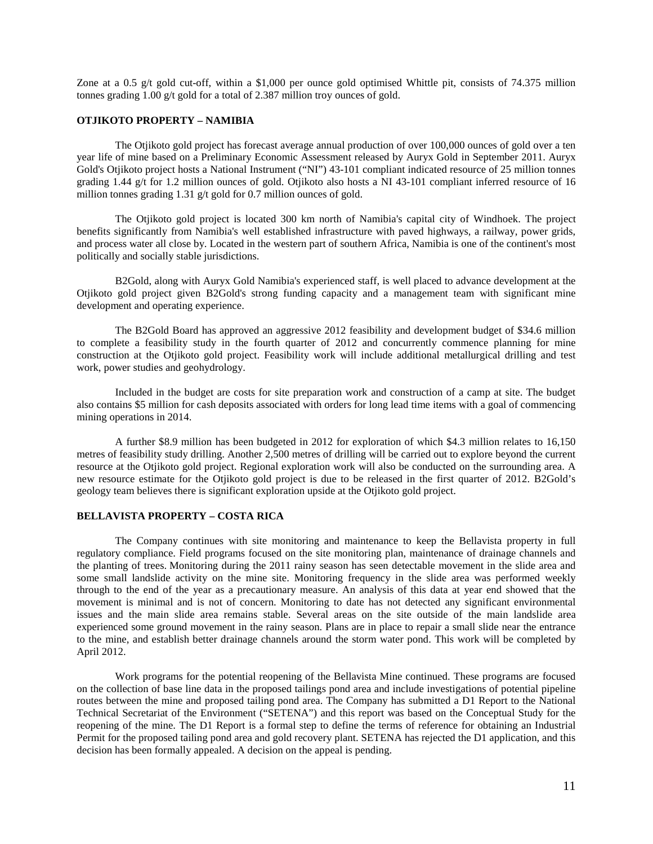Zone at a 0.5 g/t gold cut-off, within a \$1,000 per ounce gold optimised Whittle pit, consists of 74.375 million tonnes grading 1.00 g/t gold for a total of 2.387 million troy ounces of gold.

# **OTJIKOTO PROPERTY – NAMIBIA**

The Otjikoto gold project has forecast average annual production of over 100,000 ounces of gold over a ten year life of mine based on a Preliminary Economic Assessment released by Auryx Gold in September 2011. Auryx Gold's Otjikoto project hosts a National Instrument ("NI") 43-101 compliant indicated resource of 25 million tonnes grading 1.44 g/t for 1.2 million ounces of gold. Otjikoto also hosts a NI 43-101 compliant inferred resource of 16 million tonnes grading 1.31 g/t gold for 0.7 million ounces of gold.

The Otjikoto gold project is located 300 km north of Namibia's capital city of Windhoek. The project benefits significantly from Namibia's well established infrastructure with paved highways, a railway, power grids, and process water all close by. Located in the western part of southern Africa, Namibia is one of the continent's most politically and socially stable jurisdictions.

B2Gold, along with Auryx Gold Namibia's experienced staff, is well placed to advance development at the Otjikoto gold project given B2Gold's strong funding capacity and a management team with significant mine development and operating experience.

The B2Gold Board has approved an aggressive 2012 feasibility and development budget of \$34.6 million to complete a feasibility study in the fourth quarter of 2012 and concurrently commence planning for mine construction at the Otjikoto gold project. Feasibility work will include additional metallurgical drilling and test work, power studies and geohydrology.

Included in the budget are costs for site preparation work and construction of a camp at site. The budget also contains \$5 million for cash deposits associated with orders for long lead time items with a goal of commencing mining operations in 2014.

A further \$8.9 million has been budgeted in 2012 for exploration of which \$4.3 million relates to 16,150 metres of feasibility study drilling. Another 2,500 metres of drilling will be carried out to explore beyond the current resource at the Otjikoto gold project. Regional exploration work will also be conducted on the surrounding area. A new resource estimate for the Otjikoto gold project is due to be released in the first quarter of 2012. B2Gold's geology team believes there is significant exploration upside at the Otjikoto gold project.

# **BELLAVISTA PROPERTY – COSTA RICA**

The Company continues with site monitoring and maintenance to keep the Bellavista property in full regulatory compliance. Field programs focused on the site monitoring plan, maintenance of drainage channels and the planting of trees. Monitoring during the 2011 rainy season has seen detectable movement in the slide area and some small landslide activity on the mine site. Monitoring frequency in the slide area was performed weekly through to the end of the year as a precautionary measure. An analysis of this data at year end showed that the movement is minimal and is not of concern. Monitoring to date has not detected any significant environmental issues and the main slide area remains stable. Several areas on the site outside of the main landslide area experienced some ground movement in the rainy season. Plans are in place to repair a small slide near the entrance to the mine, and establish better drainage channels around the storm water pond. This work will be completed by April 2012.

Work programs for the potential reopening of the Bellavista Mine continued. These programs are focused on the collection of base line data in the proposed tailings pond area and include investigations of potential pipeline routes between the mine and proposed tailing pond area. The Company has submitted a D1 Report to the National Technical Secretariat of the Environment ("SETENA") and this report was based on the Conceptual Study for the reopening of the mine. The D1 Report is a formal step to define the terms of reference for obtaining an Industrial Permit for the proposed tailing pond area and gold recovery plant. SETENA has rejected the D1 application, and this decision has been formally appealed. A decision on the appeal is pending.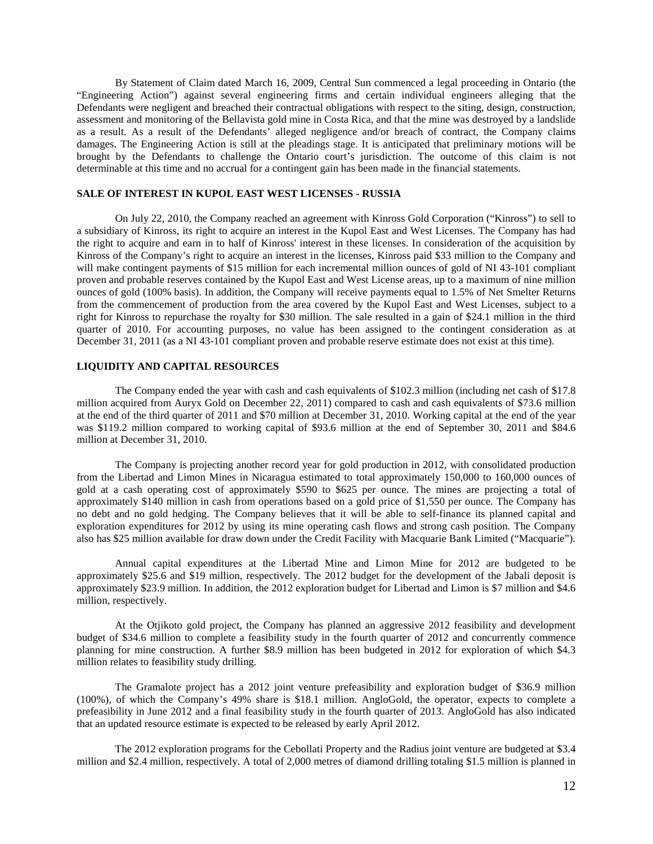By Statement of Claim dated March 16, 2009, Central Sun commenced a legal proceeding in Ontario (the "Engineering Action") against several engineering firms and certain individual engineers alleging that the Defendants were negligent and breached their contractual obligations with respect to the siting, design, construction, assessment and monitoring of the Bellavista gold mine in Costa Rica, and that the mine was destroyed by a landslide as a result. As a result of the Defendants' alleged negligence and/or breach of contract, the Company claims damages. The Engineering Action is still at the pleadings stage. It is anticipated that preliminary motions will be brought by the Defendants to challenge the Ontario court's jurisdiction. The outcome of this claim is not determinable at this time and no accrual for a contingent gain has been made in the financial statements.

# **SALE OF INTEREST IN KUPOL EAST WEST LICENSES - RUSSIA**

On July 22, 2010, the Company reached an agreement with Kinross Gold Corporation ("Kinross") to sell to a subsidiary of Kinross, its right to acquire an interest in the Kupol East and West Licenses. The Company has had the right to acquire and earn in to half of Kinross' interest in these licenses. In consideration of the acquisition by Kinross of the Company's right to acquire an interest in the licenses, Kinross paid \$33 million to the Company and will make contingent payments of \$15 million for each incremental million ounces of gold of NI 43-101 compliant proven and probable reserves contained by the Kupol East and West License areas, up to a maximum of nine million ounces of gold (100% basis). In addition, the Company will receive payments equal to 1.5% of Net Smelter Returns from the commencement of production from the area covered by the Kupol East and West Licenses, subject to a right for Kinross to repurchase the royalty for \$30 million. The sale resulted in a gain of \$24.1 million in the third quarter of 2010. For accounting purposes, no value has been assigned to the contingent consideration as at December 31, 2011 (as a NI 43-101 compliant proven and probable reserve estimate does not exist at this time).

# **LIQUIDITY AND CAPITAL RESOURCES**

The Company ended the year with cash and cash equivalents of \$102.3 million (including net cash of \$17.8 million acquired from Auryx Gold on December 22, 2011) compared to cash and cash equivalents of \$73.6 million at the end of the third quarter of 2011 and \$70 million at December 31, 2010. Working capital at the end of the year was \$119.2 million compared to working capital of \$93.6 million at the end of September 30, 2011 and \$84.6 million at December 31, 2010.

The Company is projecting another record year for gold production in 2012, with consolidated production from the Libertad and Limon Mines in Nicaragua estimated to total approximately 150,000 to 160,000 ounces of gold at a cash operating cost of approximately \$590 to \$625 per ounce. The mines are projecting a total of approximately \$140 million in cash from operations based on a gold price of \$1,550 per ounce. The Company has no debt and no gold hedging. The Company believes that it will be able to self-finance its planned capital and exploration expenditures for 2012 by using its mine operating cash flows and strong cash position. The Company also has \$25 million available for draw down under the Credit Facility with Macquarie Bank Limited ("Macquarie").

Annual capital expenditures at the Libertad Mine and Limon Mine for 2012 are budgeted to be approximately \$25.6 and \$19 million, respectively. The 2012 budget for the development of the Jabali deposit is approximately \$23.9 million. In addition, the 2012 exploration budget for Libertad and Limon is \$7 million and \$4.6 million, respectively.

At the Otjikoto gold project, the Company has planned an aggressive 2012 feasibility and development budget of \$34.6 million to complete a feasibility study in the fourth quarter of 2012 and concurrently commence planning for mine construction. A further \$8.9 million has been budgeted in 2012 for exploration of which \$4.3 million relates to feasibility study drilling.

The Gramalote project has a 2012 joint venture prefeasibility and exploration budget of \$36.9 million (100%), of which the Company's 49% share is \$18.1 million. AngloGold, the operator, expects to complete a prefeasibility in June 2012 and a final feasibility study in the fourth quarter of 2013. AngloGold has also indicated that an updated resource estimate is expected to be released by early April 2012.

The 2012 exploration programs for the Cebollati Property and the Radius joint venture are budgeted at \$3.4 million and \$2.4 million, respectively. A total of 2,000 metres of diamond drilling totaling \$1.5 million is planned in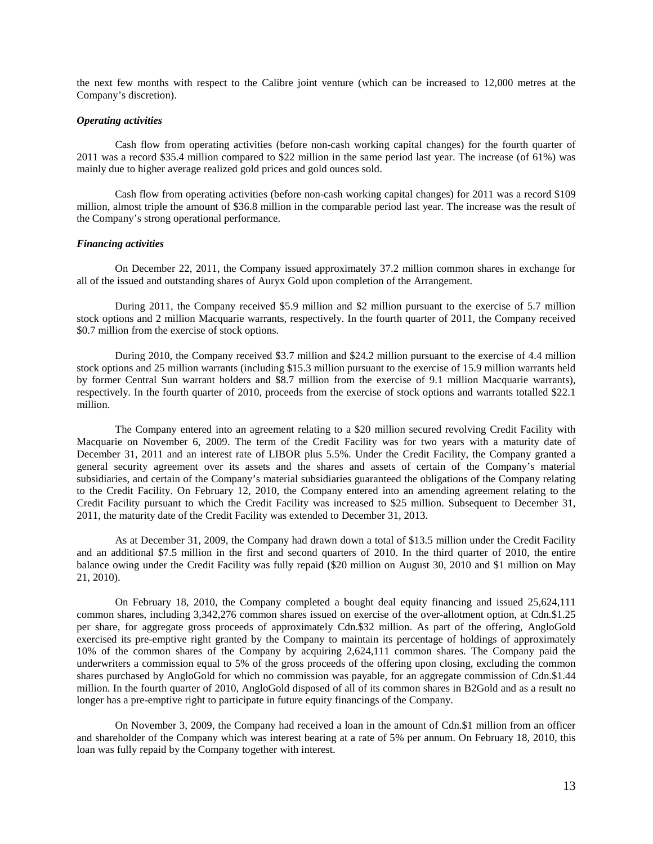the next few months with respect to the Calibre joint venture (which can be increased to 12,000 metres at the Company's discretion).

## *Operating activities*

Cash flow from operating activities (before non-cash working capital changes) for the fourth quarter of 2011 was a record \$35.4 million compared to \$22 million in the same period last year. The increase (of 61%) was mainly due to higher average realized gold prices and gold ounces sold.

Cash flow from operating activities (before non-cash working capital changes) for 2011 was a record \$109 million, almost triple the amount of \$36.8 million in the comparable period last year. The increase was the result of the Company's strong operational performance.

## *Financing activities*

On December 22, 2011, the Company issued approximately 37.2 million common shares in exchange for all of the issued and outstanding shares of Auryx Gold upon completion of the Arrangement.

During 2011, the Company received \$5.9 million and \$2 million pursuant to the exercise of 5.7 million stock options and 2 million Macquarie warrants, respectively. In the fourth quarter of 2011, the Company received \$0.7 million from the exercise of stock options.

During 2010, the Company received \$3.7 million and \$24.2 million pursuant to the exercise of 4.4 million stock options and 25 million warrants (including \$15.3 million pursuant to the exercise of 15.9 million warrants held by former Central Sun warrant holders and \$8.7 million from the exercise of 9.1 million Macquarie warrants), respectively. In the fourth quarter of 2010, proceeds from the exercise of stock options and warrants totalled \$22.1 million.

The Company entered into an agreement relating to a \$20 million secured revolving Credit Facility with Macquarie on November 6, 2009. The term of the Credit Facility was for two years with a maturity date of December 31, 2011 and an interest rate of LIBOR plus 5.5%. Under the Credit Facility, the Company granted a general security agreement over its assets and the shares and assets of certain of the Company's material subsidiaries, and certain of the Company's material subsidiaries guaranteed the obligations of the Company relating to the Credit Facility. On February 12, 2010, the Company entered into an amending agreement relating to the Credit Facility pursuant to which the Credit Facility was increased to \$25 million. Subsequent to December 31, 2011, the maturity date of the Credit Facility was extended to December 31, 2013.

As at December 31, 2009, the Company had drawn down a total of \$13.5 million under the Credit Facility and an additional \$7.5 million in the first and second quarters of 2010. In the third quarter of 2010, the entire balance owing under the Credit Facility was fully repaid (\$20 million on August 30, 2010 and \$1 million on May 21, 2010).

On February 18, 2010, the Company completed a bought deal equity financing and issued 25,624,111 common shares, including 3,342,276 common shares issued on exercise of the over-allotment option, at Cdn.\$1.25 per share, for aggregate gross proceeds of approximately Cdn.\$32 million. As part of the offering, AngloGold exercised its pre-emptive right granted by the Company to maintain its percentage of holdings of approximately 10% of the common shares of the Company by acquiring 2,624,111 common shares. The Company paid the underwriters a commission equal to 5% of the gross proceeds of the offering upon closing, excluding the common shares purchased by AngloGold for which no commission was payable, for an aggregate commission of Cdn.\$1.44 million. In the fourth quarter of 2010, AngloGold disposed of all of its common shares in B2Gold and as a result no longer has a pre-emptive right to participate in future equity financings of the Company.

On November 3, 2009, the Company had received a loan in the amount of Cdn.\$1 million from an officer and shareholder of the Company which was interest bearing at a rate of 5% per annum. On February 18, 2010, this loan was fully repaid by the Company together with interest.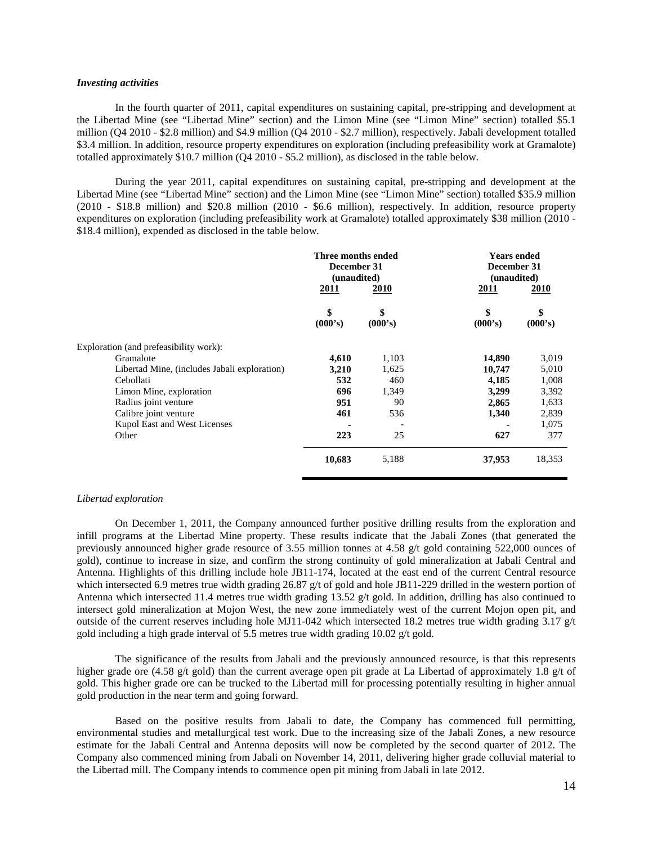## *Investing activities*

In the fourth quarter of 2011, capital expenditures on sustaining capital, pre-stripping and development at the Libertad Mine (see "Libertad Mine" section) and the Limon Mine (see "Limon Mine" section) totalled \$5.1 million (Q4 2010 - \$2.8 million) and \$4.9 million (Q4 2010 - \$2.7 million), respectively. Jabali development totalled \$3.4 million. In addition, resource property expenditures on exploration (including prefeasibility work at Gramalote) totalled approximately \$10.7 million (Q4 2010 - \$5.2 million), as disclosed in the table below.

During the year 2011, capital expenditures on sustaining capital, pre-stripping and development at the Libertad Mine (see "Libertad Mine" section) and the Limon Mine (see "Limon Mine" section) totalled \$35.9 million (2010 - \$18.8 million) and \$20.8 million (2010 - \$6.6 million), respectively. In addition, resource property expenditures on exploration (including prefeasibility work at Gramalote) totalled approximately \$38 million (2010 - \$18.4 million), expended as disclosed in the table below.

|                                              | Three months ended<br>December 31<br>(unaudited)<br>2011 | 2010          | <b>Years ended</b><br>December 31<br>(unaudited)<br>2011 | <b>2010</b>   |  |
|----------------------------------------------|----------------------------------------------------------|---------------|----------------------------------------------------------|---------------|--|
|                                              | \$<br>(000's)                                            | \$<br>(000's) | \$<br>(000's)                                            | \$<br>(000's) |  |
| Exploration (and prefeasibility work):       |                                                          |               |                                                          |               |  |
| Gramalote                                    | 4,610                                                    | 1,103         | 14,890                                                   | 3,019         |  |
| Libertad Mine, (includes Jabali exploration) | 3,210                                                    | 1,625         | 10,747                                                   | 5,010         |  |
| Cebollati                                    | 532                                                      | 460           | 4,185                                                    | 1,008         |  |
| Limon Mine, exploration                      | 696                                                      | 1,349         | 3,299                                                    | 3,392         |  |
| Radius joint venture                         | 951                                                      | 90            | 2,865                                                    | 1,633         |  |
| Calibre joint venture                        | 461                                                      | 536           | 1,340                                                    | 2,839         |  |
| Kupol East and West Licenses                 |                                                          |               |                                                          | 1,075         |  |
| Other                                        | 223                                                      | 25            | 627                                                      | 377           |  |
|                                              | 10,683                                                   | 5,188         | 37,953                                                   | 18,353        |  |

# *Libertad exploration*

On December 1, 2011, the Company announced further positive drilling results from the exploration and infill programs at the Libertad Mine property. These results indicate that the Jabali Zones (that generated the previously announced higher grade resource of 3.55 million tonnes at 4.58 g/t gold containing 522,000 ounces of gold), continue to increase in size, and confirm the strong continuity of gold mineralization at Jabali Central and Antenna. Highlights of this drilling include hole JB11-174, located at the east end of the current Central resource which intersected 6.9 metres true width grading 26.87 g/t of gold and hole JB11-229 drilled in the western portion of Antenna which intersected 11.4 metres true width grading 13.52  $g/t$  gold. In addition, drilling has also continued to intersect gold mineralization at Mojon West, the new zone immediately west of the current Mojon open pit, and outside of the current reserves including hole MJ11-042 which intersected 18.2 metres true width grading 3.17 g/t gold including a high grade interval of 5.5 metres true width grading 10.02 g/t gold.

The significance of the results from Jabali and the previously announced resource, is that this represents higher grade ore (4.58 g/t gold) than the current average open pit grade at La Libertad of approximately 1.8 g/t of gold. This higher grade ore can be trucked to the Libertad mill for processing potentially resulting in higher annual gold production in the near term and going forward.

Based on the positive results from Jabali to date, the Company has commenced full permitting, environmental studies and metallurgical test work. Due to the increasing size of the Jabali Zones, a new resource estimate for the Jabali Central and Antenna deposits will now be completed by the second quarter of 2012. The Company also commenced mining from Jabali on November 14, 2011, delivering higher grade colluvial material to the Libertad mill. The Company intends to commence open pit mining from Jabali in late 2012.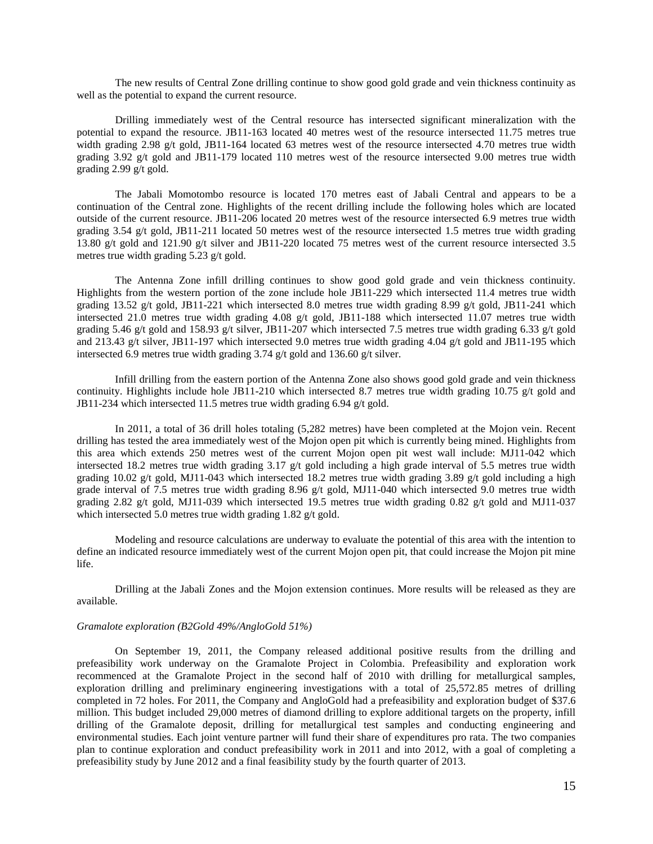The new results of Central Zone drilling continue to show good gold grade and vein thickness continuity as well as the potential to expand the current resource.

Drilling immediately west of the Central resource has intersected significant mineralization with the potential to expand the resource. JB11-163 located 40 metres west of the resource intersected 11.75 metres true width grading 2.98 g/t gold, JB11-164 located 63 metres west of the resource intersected 4.70 metres true width grading 3.92 g/t gold and JB11-179 located 110 metres west of the resource intersected 9.00 metres true width grading 2.99 g/t gold.

The Jabali Momotombo resource is located 170 metres east of Jabali Central and appears to be a continuation of the Central zone. Highlights of the recent drilling include the following holes which are located outside of the current resource. JB11-206 located 20 metres west of the resource intersected 6.9 metres true width grading 3.54 g/t gold, JB11-211 located 50 metres west of the resource intersected 1.5 metres true width grading 13.80 g/t gold and 121.90 g/t silver and JB11-220 located 75 metres west of the current resource intersected 3.5 metres true width grading 5.23 g/t gold.

The Antenna Zone infill drilling continues to show good gold grade and vein thickness continuity. Highlights from the western portion of the zone include hole JB11-229 which intersected 11.4 metres true width grading 13.52 g/t gold, JB11-221 which intersected 8.0 metres true width grading 8.99 g/t gold, JB11-241 which intersected 21.0 metres true width grading 4.08 g/t gold, JB11-188 which intersected 11.07 metres true width grading 5.46 g/t gold and 158.93 g/t silver, JB11-207 which intersected 7.5 metres true width grading 6.33 g/t gold and 213.43 g/t silver, JB11-197 which intersected 9.0 metres true width grading 4.04 g/t gold and JB11-195 which intersected 6.9 metres true width grading 3.74 g/t gold and 136.60 g/t silver.

Infill drilling from the eastern portion of the Antenna Zone also shows good gold grade and vein thickness continuity. Highlights include hole JB11-210 which intersected 8.7 metres true width grading 10.75  $g/t$  gold and JB11-234 which intersected 11.5 metres true width grading 6.94 g/t gold.

In 2011, a total of 36 drill holes totaling (5,282 metres) have been completed at the Mojon vein. Recent drilling has tested the area immediately west of the Mojon open pit which is currently being mined. Highlights from this area which extends 250 metres west of the current Mojon open pit west wall include: MJ11-042 which intersected 18.2 metres true width grading 3.17 g/t gold including a high grade interval of 5.5 metres true width grading 10.02 g/t gold, MJ11-043 which intersected 18.2 metres true width grading 3.89 g/t gold including a high grade interval of 7.5 metres true width grading 8.96 g/t gold, MJ11-040 which intersected 9.0 metres true width grading 2.82 g/t gold, MJ11-039 which intersected 19.5 metres true width grading 0.82 g/t gold and MJ11-037 which intersected 5.0 metres true width grading 1.82 g/t gold.

Modeling and resource calculations are underway to evaluate the potential of this area with the intention to define an indicated resource immediately west of the current Mojon open pit, that could increase the Mojon pit mine life.

Drilling at the Jabali Zones and the Mojon extension continues. More results will be released as they are available.

#### *Gramalote exploration (B2Gold 49%/AngloGold 51%)*

On September 19, 2011, the Company released additional positive results from the drilling and prefeasibility work underway on the Gramalote Project in Colombia. Prefeasibility and exploration work recommenced at the Gramalote Project in the second half of 2010 with drilling for metallurgical samples, exploration drilling and preliminary engineering investigations with a total of 25,572.85 metres of drilling completed in 72 holes. For 2011, the Company and AngloGold had a prefeasibility and exploration budget of \$37.6 million. This budget included 29,000 metres of diamond drilling to explore additional targets on the property, infill drilling of the Gramalote deposit, drilling for metallurgical test samples and conducting engineering and environmental studies. Each joint venture partner will fund their share of expenditures pro rata. The two companies plan to continue exploration and conduct prefeasibility work in 2011 and into 2012, with a goal of completing a prefeasibility study by June 2012 and a final feasibility study by the fourth quarter of 2013.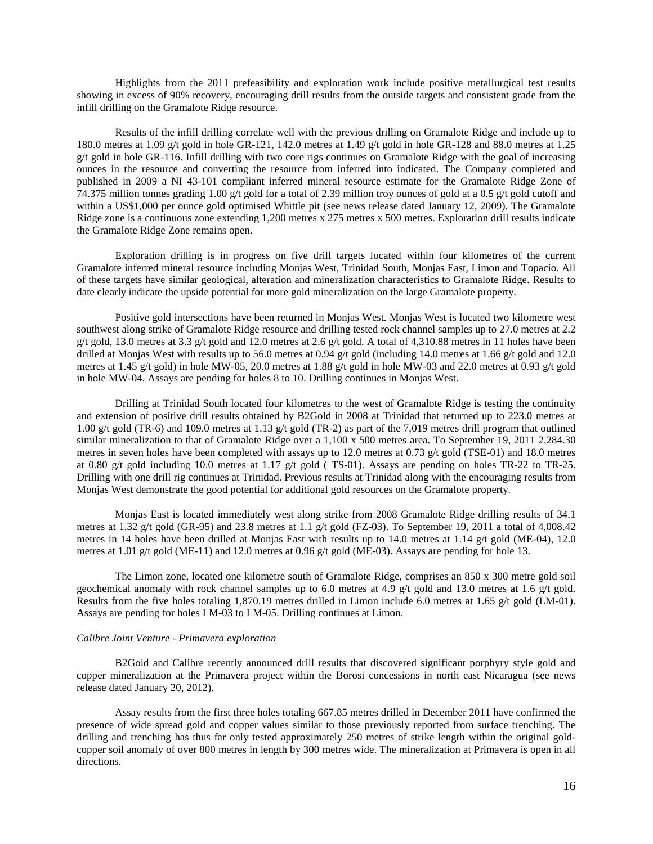Highlights from the 2011 prefeasibility and exploration work include positive metallurgical test results showing in excess of 90% recovery, encouraging drill results from the outside targets and consistent grade from the infill drilling on the Gramalote Ridge resource.

Results of the infill drilling correlate well with the previous drilling on Gramalote Ridge and include up to 180.0 metres at 1.09 g/t gold in hole GR-121, 142.0 metres at 1.49 g/t gold in hole GR-128 and 88.0 metres at 1.25  $g/t$  gold in hole GR-116. Infill drilling with two core rigs continues on Gramalote Ridge with the goal of increasing ounces in the resource and converting the resource from inferred into indicated. The Company completed and published in 2009 a NI 43-101 compliant inferred mineral resource estimate for the Gramalote Ridge Zone of 74.375 million tonnes grading 1.00 g/t gold for a total of 2.39 million troy ounces of gold at a 0.5 g/t gold cutoff and within a US\$1,000 per ounce gold optimised Whittle pit (see news release dated January 12, 2009). The Gramalote Ridge zone is a continuous zone extending 1,200 metres x 275 metres x 500 metres. Exploration drill results indicate the Gramalote Ridge Zone remains open.

Exploration drilling is in progress on five drill targets located within four kilometres of the current Gramalote inferred mineral resource including Monjas West, Trinidad South, Monjas East, Limon and Topacio. All of these targets have similar geological, alteration and mineralization characteristics to Gramalote Ridge. Results to date clearly indicate the upside potential for more gold mineralization on the large Gramalote property.

Positive gold intersections have been returned in Monjas West. Monjas West is located two kilometre west southwest along strike of Gramalote Ridge resource and drilling tested rock channel samples up to 27.0 metres at 2.2 g/t gold, 13.0 metres at 3.3 g/t gold and 12.0 metres at 2.6 g/t gold. A total of 4,310.88 metres in 11 holes have been drilled at Monjas West with results up to 56.0 metres at 0.94 g/t gold (including 14.0 metres at 1.66 g/t gold and 12.0 metres at 1.45 g/t gold) in hole MW-05, 20.0 metres at 1.88 g/t gold in hole MW-03 and 22.0 metres at 0.93 g/t gold in hole MW-04. Assays are pending for holes 8 to 10. Drilling continues in Monjas West.

Drilling at Trinidad South located four kilometres to the west of Gramalote Ridge is testing the continuity and extension of positive drill results obtained by B2Gold in 2008 at Trinidad that returned up to 223.0 metres at 1.00 g/t gold (TR-6) and 109.0 metres at 1.13 g/t gold (TR-2) as part of the 7,019 metres drill program that outlined similar mineralization to that of Gramalote Ridge over a 1,100 x 500 metres area. To September 19, 2011 2,284.30 metres in seven holes have been completed with assays up to 12.0 metres at 0.73 g/t gold (TSE-01) and 18.0 metres at 0.80 g/t gold including 10.0 metres at 1.17 g/t gold ( TS-01). Assays are pending on holes TR-22 to TR-25. Drilling with one drill rig continues at Trinidad. Previous results at Trinidad along with the encouraging results from Monjas West demonstrate the good potential for additional gold resources on the Gramalote property.

Monjas East is located immediately west along strike from 2008 Gramalote Ridge drilling results of 34.1 metres at 1.32 g/t gold (GR-95) and 23.8 metres at 1.1 g/t gold (FZ-03). To September 19, 2011 a total of 4,008.42 metres in 14 holes have been drilled at Monjas East with results up to 14.0 metres at 1.14 g/t gold (ME-04), 12.0 metres at 1.01 g/t gold (ME-11) and 12.0 metres at 0.96 g/t gold (ME-03). Assays are pending for hole 13.

The Limon zone, located one kilometre south of Gramalote Ridge, comprises an 850 x 300 metre gold soil geochemical anomaly with rock channel samples up to 6.0 metres at 4.9 g/t gold and 13.0 metres at 1.6 g/t gold. Results from the five holes totaling 1,870.19 metres drilled in Limon include 6.0 metres at 1.65 g/t gold (LM-01). Assays are pending for holes LM-03 to LM-05. Drilling continues at Limon.

#### *Calibre Joint Venture - Primavera exploration*

B2Gold and Calibre recently announced drill results that discovered significant porphyry style gold and copper mineralization at the Primavera project within the Borosi concessions in north east Nicaragua (see news release dated January 20, 2012).

Assay results from the first three holes totaling 667.85 metres drilled in December 2011 have confirmed the presence of wide spread gold and copper values similar to those previously reported from surface trenching. The drilling and trenching has thus far only tested approximately 250 metres of strike length within the original goldcopper soil anomaly of over 800 metres in length by 300 metres wide. The mineralization at Primavera is open in all directions.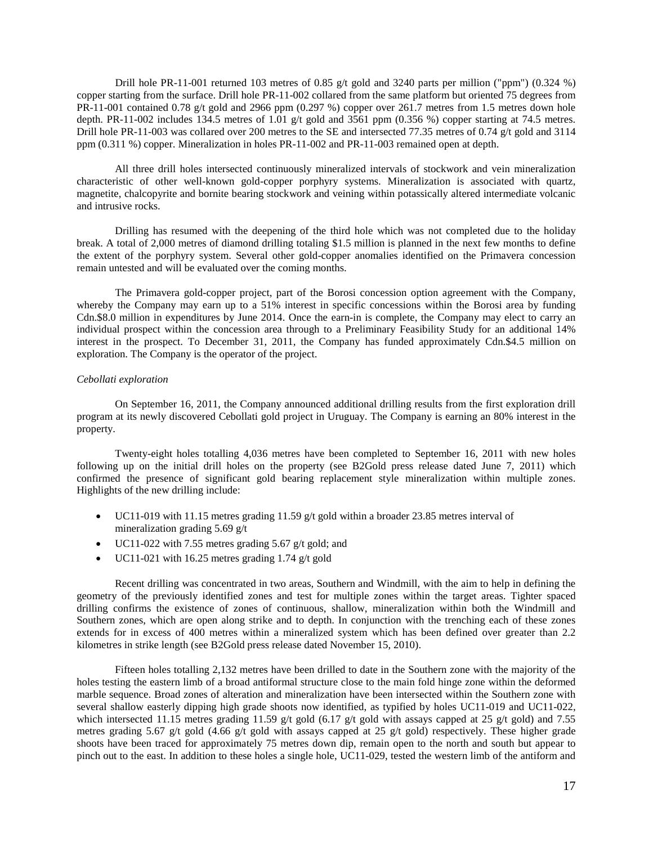Drill hole PR-11-001 returned 103 metres of 0.85 g/t gold and 3240 parts per million ("ppm") (0.324 %) copper starting from the surface. Drill hole PR-11-002 collared from the same platform but oriented 75 degrees from PR-11-001 contained 0.78 g/t gold and 2966 ppm (0.297 %) copper over 261.7 metres from 1.5 metres down hole depth. PR-11-002 includes 134.5 metres of 1.01 g/t gold and 3561 ppm (0.356 %) copper starting at 74.5 metres. Drill hole PR-11-003 was collared over 200 metres to the SE and intersected 77.35 metres of 0.74 g/t gold and 3114 ppm (0.311 %) copper. Mineralization in holes PR-11-002 and PR-11-003 remained open at depth.

All three drill holes intersected continuously mineralized intervals of stockwork and vein mineralization characteristic of other well-known gold-copper porphyry systems. Mineralization is associated with quartz, magnetite, chalcopyrite and bornite bearing stockwork and veining within potassically altered intermediate volcanic and intrusive rocks.

Drilling has resumed with the deepening of the third hole which was not completed due to the holiday break. A total of 2,000 metres of diamond drilling totaling \$1.5 million is planned in the next few months to define the extent of the porphyry system. Several other gold-copper anomalies identified on the Primavera concession remain untested and will be evaluated over the coming months.

The Primavera gold-copper project, part of the Borosi concession option agreement with the Company, whereby the Company may earn up to a 51% interest in specific concessions within the Borosi area by funding Cdn.\$8.0 million in expenditures by June 2014. Once the earn-in is complete, the Company may elect to carry an individual prospect within the concession area through to a Preliminary Feasibility Study for an additional 14% interest in the prospect. To December 31, 2011, the Company has funded approximately Cdn.\$4.5 million on exploration. The Company is the operator of the project.

## *Cebollati exploration*

On September 16, 2011, the Company announced additional drilling results from the first exploration drill program at its newly discovered Cebollati gold project in Uruguay. The Company is earning an 80% interest in the property.

Twenty-eight holes totalling 4,036 metres have been completed to September 16, 2011 with new holes following up on the initial drill holes on the property (see B2Gold press release dated June 7, 2011) which confirmed the presence of significant gold bearing replacement style mineralization within multiple zones. Highlights of the new drilling include:

- UC11-019 with 11.15 metres grading 11.59 g/t gold within a broader 23.85 metres interval of mineralization grading 5.69 g/t
- UC11-022 with 7.55 metres grading 5.67 g/t gold; and
- UC11-021 with 16.25 metres grading 1.74  $g/t$  gold

Recent drilling was concentrated in two areas, Southern and Windmill, with the aim to help in defining the geometry of the previously identified zones and test for multiple zones within the target areas. Tighter spaced drilling confirms the existence of zones of continuous, shallow, mineralization within both the Windmill and Southern zones, which are open along strike and to depth. In conjunction with the trenching each of these zones extends for in excess of 400 metres within a mineralized system which has been defined over greater than 2.2 kilometres in strike length (see B2Gold press release dated November 15, 2010).

Fifteen holes totalling 2,132 metres have been drilled to date in the Southern zone with the majority of the holes testing the eastern limb of a broad antiformal structure close to the main fold hinge zone within the deformed marble sequence. Broad zones of alteration and mineralization have been intersected within the Southern zone with several shallow easterly dipping high grade shoots now identified, as typified by holes UC11-019 and UC11-022, which intersected 11.15 metres grading 11.59 g/t gold (6.17 g/t gold with assays capped at 25 g/t gold) and 7.55 metres grading 5.67 g/t gold (4.66 g/t gold with assays capped at 25 g/t gold) respectively. These higher grade shoots have been traced for approximately 75 metres down dip, remain open to the north and south but appear to pinch out to the east. In addition to these holes a single hole, UC11-029, tested the western limb of the antiform and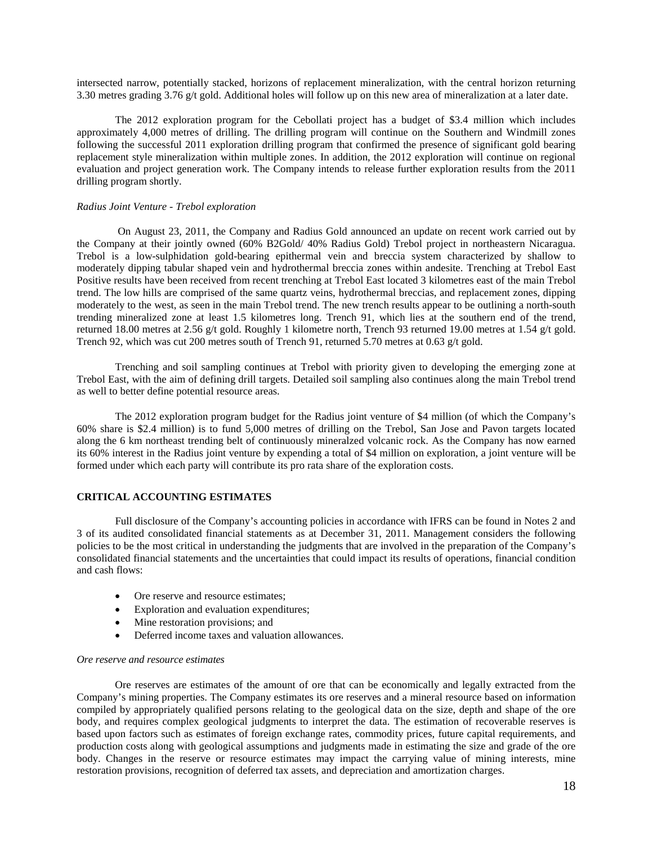intersected narrow, potentially stacked, horizons of replacement mineralization, with the central horizon returning 3.30 metres grading 3.76 g/t gold. Additional holes will follow up on this new area of mineralization at a later date.

The 2012 exploration program for the Cebollati project has a budget of \$3.4 million which includes approximately 4,000 metres of drilling. The drilling program will continue on the Southern and Windmill zones following the successful 2011 exploration drilling program that confirmed the presence of significant gold bearing replacement style mineralization within multiple zones. In addition, the 2012 exploration will continue on regional evaluation and project generation work. The Company intends to release further exploration results from the 2011 drilling program shortly.

## *Radius Joint Venture - Trebol exploration*

On August 23, 2011, the Company and Radius Gold announced an update on recent work carried out by the Company at their jointly owned (60% B2Gold/ 40% Radius Gold) Trebol project in northeastern Nicaragua. Trebol is a low-sulphidation gold-bearing epithermal vein and breccia system characterized by shallow to moderately dipping tabular shaped vein and hydrothermal breccia zones within andesite. Trenching at Trebol East Positive results have been received from recent trenching at Trebol East located 3 kilometres east of the main Trebol trend. The low hills are comprised of the same quartz veins, hydrothermal breccias, and replacement zones, dipping moderately to the west, as seen in the main Trebol trend. The new trench results appear to be outlining a north-south trending mineralized zone at least 1.5 kilometres long. Trench 91, which lies at the southern end of the trend, returned 18.00 metres at 2.56 g/t gold. Roughly 1 kilometre north, Trench 93 returned 19.00 metres at 1.54 g/t gold. Trench 92, which was cut 200 metres south of Trench 91, returned 5.70 metres at 0.63 g/t gold.

Trenching and soil sampling continues at Trebol with priority given to developing the emerging zone at Trebol East, with the aim of defining drill targets. Detailed soil sampling also continues along the main Trebol trend as well to better define potential resource areas.

The 2012 exploration program budget for the Radius joint venture of \$4 million (of which the Company's 60% share is \$2.4 million) is to fund 5,000 metres of drilling on the Trebol, San Jose and Pavon targets located along the 6 km northeast trending belt of continuously mineralzed volcanic rock. As the Company has now earned its 60% interest in the Radius joint venture by expending a total of \$4 million on exploration, a joint venture will be formed under which each party will contribute its pro rata share of the exploration costs.

## **CRITICAL ACCOUNTING ESTIMATES**

Full disclosure of the Company's accounting policies in accordance with IFRS can be found in Notes 2 and 3 of its audited consolidated financial statements as at December 31, 2011. Management considers the following policies to be the most critical in understanding the judgments that are involved in the preparation of the Company's consolidated financial statements and the uncertainties that could impact its results of operations, financial condition and cash flows:

- Ore reserve and resource estimates:
- Exploration and evaluation expenditures;
- Mine restoration provisions; and
- Deferred income taxes and valuation allowances.

#### *Ore reserve and resource estimates*

Ore reserves are estimates of the amount of ore that can be economically and legally extracted from the Company's mining properties. The Company estimates its ore reserves and a mineral resource based on information compiled by appropriately qualified persons relating to the geological data on the size, depth and shape of the ore body, and requires complex geological judgments to interpret the data. The estimation of recoverable reserves is based upon factors such as estimates of foreign exchange rates, commodity prices, future capital requirements, and production costs along with geological assumptions and judgments made in estimating the size and grade of the ore body. Changes in the reserve or resource estimates may impact the carrying value of mining interests, mine restoration provisions, recognition of deferred tax assets, and depreciation and amortization charges.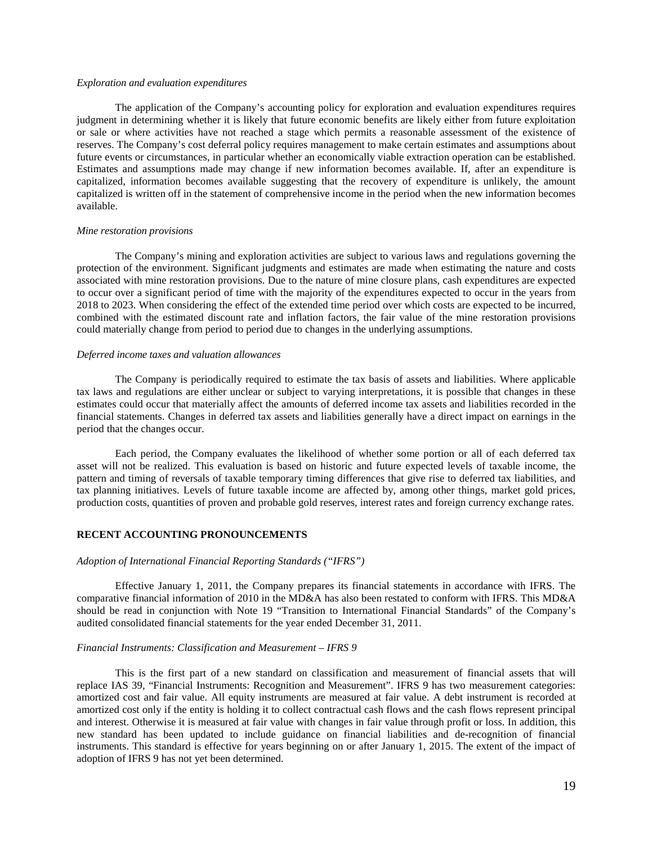#### *Exploration and evaluation expenditures*

The application of the Company's accounting policy for exploration and evaluation expenditures requires judgment in determining whether it is likely that future economic benefits are likely either from future exploitation or sale or where activities have not reached a stage which permits a reasonable assessment of the existence of reserves. The Company's cost deferral policy requires management to make certain estimates and assumptions about future events or circumstances, in particular whether an economically viable extraction operation can be established. Estimates and assumptions made may change if new information becomes available. If, after an expenditure is capitalized, information becomes available suggesting that the recovery of expenditure is unlikely, the amount capitalized is written off in the statement of comprehensive income in the period when the new information becomes available.

## *Mine restoration provisions*

The Company's mining and exploration activities are subject to various laws and regulations governing the protection of the environment. Significant judgments and estimates are made when estimating the nature and costs associated with mine restoration provisions. Due to the nature of mine closure plans, cash expenditures are expected to occur over a significant period of time with the majority of the expenditures expected to occur in the years from 2018 to 2023. When considering the effect of the extended time period over which costs are expected to be incurred, combined with the estimated discount rate and inflation factors, the fair value of the mine restoration provisions could materially change from period to period due to changes in the underlying assumptions.

### *Deferred income taxes and valuation allowances*

The Company is periodically required to estimate the tax basis of assets and liabilities. Where applicable tax laws and regulations are either unclear or subject to varying interpretations, it is possible that changes in these estimates could occur that materially affect the amounts of deferred income tax assets and liabilities recorded in the financial statements. Changes in deferred tax assets and liabilities generally have a direct impact on earnings in the period that the changes occur.

Each period, the Company evaluates the likelihood of whether some portion or all of each deferred tax asset will not be realized. This evaluation is based on historic and future expected levels of taxable income, the pattern and timing of reversals of taxable temporary timing differences that give rise to deferred tax liabilities, and tax planning initiatives. Levels of future taxable income are affected by, among other things, market gold prices, production costs, quantities of proven and probable gold reserves, interest rates and foreign currency exchange rates.

# **RECENT ACCOUNTING PRONOUNCEMENTS**

#### *Adoption of International Financial Reporting Standards ("IFRS")*

Effective January 1, 2011, the Company prepares its financial statements in accordance with IFRS. The comparative financial information of 2010 in the MD&A has also been restated to conform with IFRS. This MD&A should be read in conjunction with Note 19 "Transition to International Financial Standards" of the Company's audited consolidated financial statements for the year ended December 31, 2011.

## *Financial Instruments: Classification and Measurement – IFRS 9*

This is the first part of a new standard on classification and measurement of financial assets that will replace IAS 39, "Financial Instruments: Recognition and Measurement". IFRS 9 has two measurement categories: amortized cost and fair value. All equity instruments are measured at fair value. A debt instrument is recorded at amortized cost only if the entity is holding it to collect contractual cash flows and the cash flows represent principal and interest. Otherwise it is measured at fair value with changes in fair value through profit or loss. In addition, this new standard has been updated to include guidance on financial liabilities and de-recognition of financial instruments. This standard is effective for years beginning on or after January 1, 2015. The extent of the impact of adoption of IFRS 9 has not yet been determined.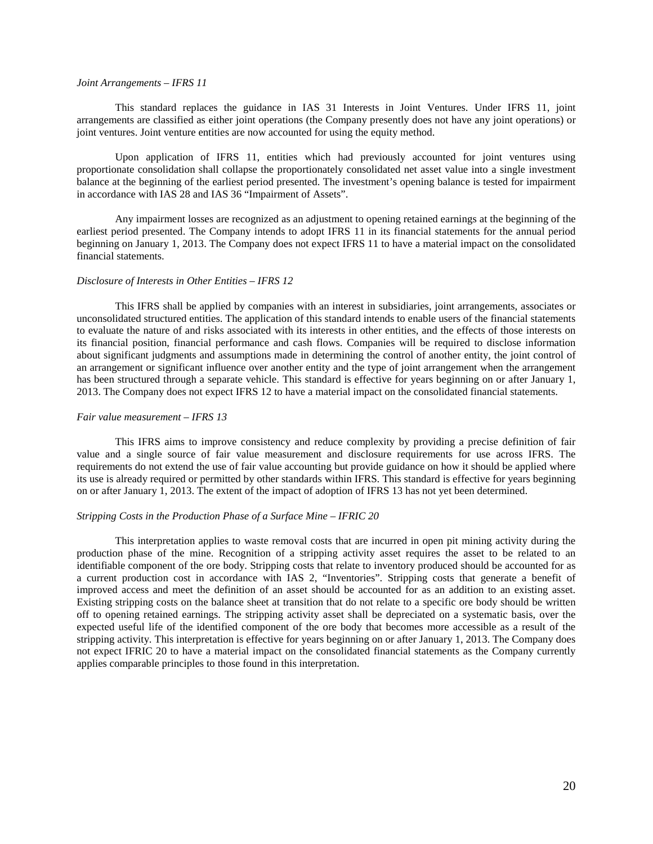## *Joint Arrangements – IFRS 11*

This standard replaces the guidance in IAS 31 Interests in Joint Ventures. Under IFRS 11, joint arrangements are classified as either joint operations (the Company presently does not have any joint operations) or joint ventures. Joint venture entities are now accounted for using the equity method.

Upon application of IFRS 11, entities which had previously accounted for joint ventures using proportionate consolidation shall collapse the proportionately consolidated net asset value into a single investment balance at the beginning of the earliest period presented. The investment's opening balance is tested for impairment in accordance with IAS 28 and IAS 36 "Impairment of Assets".

Any impairment losses are recognized as an adjustment to opening retained earnings at the beginning of the earliest period presented. The Company intends to adopt IFRS 11 in its financial statements for the annual period beginning on January 1, 2013. The Company does not expect IFRS 11 to have a material impact on the consolidated financial statements.

#### *Disclosure of Interests in Other Entities – IFRS 12*

This IFRS shall be applied by companies with an interest in subsidiaries, joint arrangements, associates or unconsolidated structured entities. The application of this standard intends to enable users of the financial statements to evaluate the nature of and risks associated with its interests in other entities, and the effects of those interests on its financial position, financial performance and cash flows. Companies will be required to disclose information about significant judgments and assumptions made in determining the control of another entity, the joint control of an arrangement or significant influence over another entity and the type of joint arrangement when the arrangement has been structured through a separate vehicle. This standard is effective for years beginning on or after January 1, 2013. The Company does not expect IFRS 12 to have a material impact on the consolidated financial statements.

## *Fair value measurement – IFRS 13*

This IFRS aims to improve consistency and reduce complexity by providing a precise definition of fair value and a single source of fair value measurement and disclosure requirements for use across IFRS. The requirements do not extend the use of fair value accounting but provide guidance on how it should be applied where its use is already required or permitted by other standards within IFRS. This standard is effective for years beginning on or after January 1, 2013. The extent of the impact of adoption of IFRS 13 has not yet been determined.

## *Stripping Costs in the Production Phase of a Surface Mine – IFRIC 20*

This interpretation applies to waste removal costs that are incurred in open pit mining activity during the production phase of the mine. Recognition of a stripping activity asset requires the asset to be related to an identifiable component of the ore body. Stripping costs that relate to inventory produced should be accounted for as a current production cost in accordance with IAS 2, "Inventories". Stripping costs that generate a benefit of improved access and meet the definition of an asset should be accounted for as an addition to an existing asset. Existing stripping costs on the balance sheet at transition that do not relate to a specific ore body should be written off to opening retained earnings. The stripping activity asset shall be depreciated on a systematic basis, over the expected useful life of the identified component of the ore body that becomes more accessible as a result of the stripping activity. This interpretation is effective for years beginning on or after January 1, 2013. The Company does not expect IFRIC 20 to have a material impact on the consolidated financial statements as the Company currently applies comparable principles to those found in this interpretation.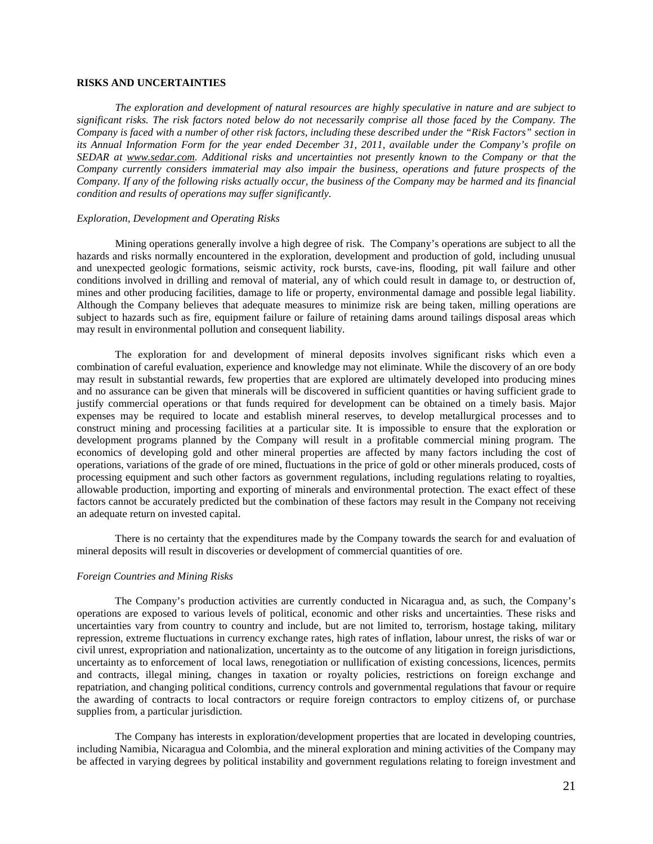# **RISKS AND UNCERTAINTIES**

*The exploration and development of natural resources are highly speculative in nature and are subject to significant risks. The risk factors noted below do not necessarily comprise all those faced by the Company. The Company is faced with a number of other risk factors, including these described under the "Risk Factors" section in its Annual Information Form for the year ended December 31, 2011, available under the Company's profile on SEDAR at [www.sedar.com.](http://www.sedar.com/) Additional risks and uncertainties not presently known to the Company or that the Company currently considers immaterial may also impair the business, operations and future prospects of the Company. If any of the following risks actually occur, the business of the Company may be harmed and its financial condition and results of operations may suffer significantly.* 

## *Exploration, Development and Operating Risks*

Mining operations generally involve a high degree of risk. The Company's operations are subject to all the hazards and risks normally encountered in the exploration, development and production of gold, including unusual and unexpected geologic formations, seismic activity, rock bursts, cave-ins, flooding, pit wall failure and other conditions involved in drilling and removal of material, any of which could result in damage to, or destruction of, mines and other producing facilities, damage to life or property, environmental damage and possible legal liability. Although the Company believes that adequate measures to minimize risk are being taken, milling operations are subject to hazards such as fire, equipment failure or failure of retaining dams around tailings disposal areas which may result in environmental pollution and consequent liability.

The exploration for and development of mineral deposits involves significant risks which even a combination of careful evaluation, experience and knowledge may not eliminate. While the discovery of an ore body may result in substantial rewards, few properties that are explored are ultimately developed into producing mines and no assurance can be given that minerals will be discovered in sufficient quantities or having sufficient grade to justify commercial operations or that funds required for development can be obtained on a timely basis. Major expenses may be required to locate and establish mineral reserves, to develop metallurgical processes and to construct mining and processing facilities at a particular site. It is impossible to ensure that the exploration or development programs planned by the Company will result in a profitable commercial mining program. The economics of developing gold and other mineral properties are affected by many factors including the cost of operations, variations of the grade of ore mined, fluctuations in the price of gold or other minerals produced, costs of processing equipment and such other factors as government regulations, including regulations relating to royalties, allowable production, importing and exporting of minerals and environmental protection. The exact effect of these factors cannot be accurately predicted but the combination of these factors may result in the Company not receiving an adequate return on invested capital.

There is no certainty that the expenditures made by the Company towards the search for and evaluation of mineral deposits will result in discoveries or development of commercial quantities of ore.

### *Foreign Countries and Mining Risks*

The Company's production activities are currently conducted in Nicaragua and, as such, the Company's operations are exposed to various levels of political, economic and other risks and uncertainties. These risks and uncertainties vary from country to country and include, but are not limited to, terrorism, hostage taking, military repression, extreme fluctuations in currency exchange rates, high rates of inflation, labour unrest, the risks of war or civil unrest, expropriation and nationalization, uncertainty as to the outcome of any litigation in foreign jurisdictions, uncertainty as to enforcement of local laws, renegotiation or nullification of existing concessions, licences, permits and contracts, illegal mining, changes in taxation or royalty policies, restrictions on foreign exchange and repatriation, and changing political conditions, currency controls and governmental regulations that favour or require the awarding of contracts to local contractors or require foreign contractors to employ citizens of, or purchase supplies from, a particular jurisdiction.

The Company has interests in exploration/development properties that are located in developing countries, including Namibia, Nicaragua and Colombia, and the mineral exploration and mining activities of the Company may be affected in varying degrees by political instability and government regulations relating to foreign investment and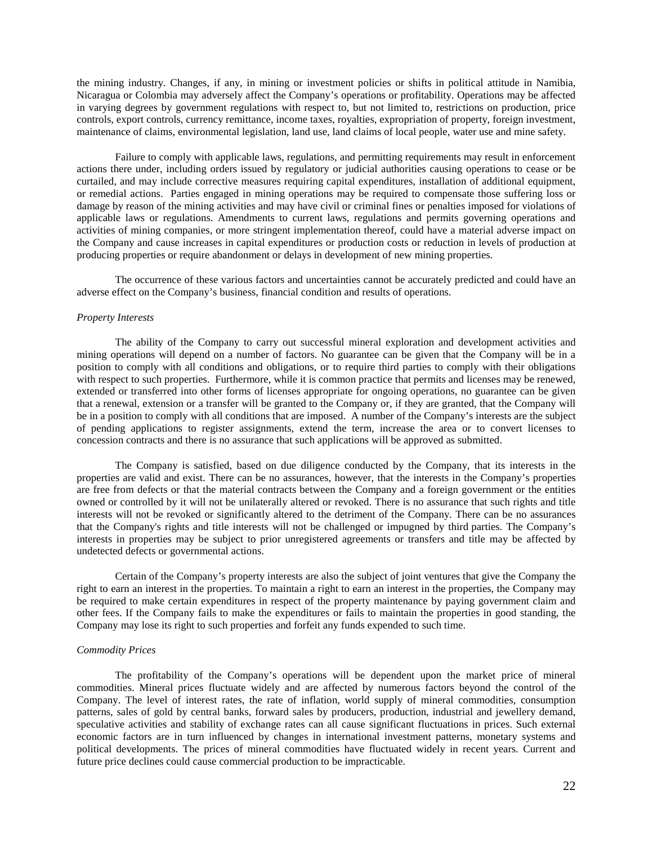the mining industry. Changes, if any, in mining or investment policies or shifts in political attitude in Namibia, Nicaragua or Colombia may adversely affect the Company's operations or profitability. Operations may be affected in varying degrees by government regulations with respect to, but not limited to, restrictions on production, price controls, export controls, currency remittance, income taxes, royalties, expropriation of property, foreign investment, maintenance of claims, environmental legislation, land use, land claims of local people, water use and mine safety.

Failure to comply with applicable laws, regulations, and permitting requirements may result in enforcement actions there under, including orders issued by regulatory or judicial authorities causing operations to cease or be curtailed, and may include corrective measures requiring capital expenditures, installation of additional equipment, or remedial actions. Parties engaged in mining operations may be required to compensate those suffering loss or damage by reason of the mining activities and may have civil or criminal fines or penalties imposed for violations of applicable laws or regulations. Amendments to current laws, regulations and permits governing operations and activities of mining companies, or more stringent implementation thereof, could have a material adverse impact on the Company and cause increases in capital expenditures or production costs or reduction in levels of production at producing properties or require abandonment or delays in development of new mining properties.

The occurrence of these various factors and uncertainties cannot be accurately predicted and could have an adverse effect on the Company's business, financial condition and results of operations.

## *Property Interests*

The ability of the Company to carry out successful mineral exploration and development activities and mining operations will depend on a number of factors. No guarantee can be given that the Company will be in a position to comply with all conditions and obligations, or to require third parties to comply with their obligations with respect to such properties. Furthermore, while it is common practice that permits and licenses may be renewed, extended or transferred into other forms of licenses appropriate for ongoing operations, no guarantee can be given that a renewal, extension or a transfer will be granted to the Company or, if they are granted, that the Company will be in a position to comply with all conditions that are imposed. A number of the Company's interests are the subject of pending applications to register assignments, extend the term, increase the area or to convert licenses to concession contracts and there is no assurance that such applications will be approved as submitted.

The Company is satisfied, based on due diligence conducted by the Company, that its interests in the properties are valid and exist. There can be no assurances, however, that the interests in the Company's properties are free from defects or that the material contracts between the Company and a foreign government or the entities owned or controlled by it will not be unilaterally altered or revoked. There is no assurance that such rights and title interests will not be revoked or significantly altered to the detriment of the Company. There can be no assurances that the Company's rights and title interests will not be challenged or impugned by third parties. The Company's interests in properties may be subject to prior unregistered agreements or transfers and title may be affected by undetected defects or governmental actions.

Certain of the Company's property interests are also the subject of joint ventures that give the Company the right to earn an interest in the properties. To maintain a right to earn an interest in the properties, the Company may be required to make certain expenditures in respect of the property maintenance by paying government claim and other fees. If the Company fails to make the expenditures or fails to maintain the properties in good standing, the Company may lose its right to such properties and forfeit any funds expended to such time.

# *Commodity Prices*

The profitability of the Company's operations will be dependent upon the market price of mineral commodities. Mineral prices fluctuate widely and are affected by numerous factors beyond the control of the Company. The level of interest rates, the rate of inflation, world supply of mineral commodities, consumption patterns, sales of gold by central banks, forward sales by producers, production, industrial and jewellery demand, speculative activities and stability of exchange rates can all cause significant fluctuations in prices. Such external economic factors are in turn influenced by changes in international investment patterns, monetary systems and political developments. The prices of mineral commodities have fluctuated widely in recent years. Current and future price declines could cause commercial production to be impracticable.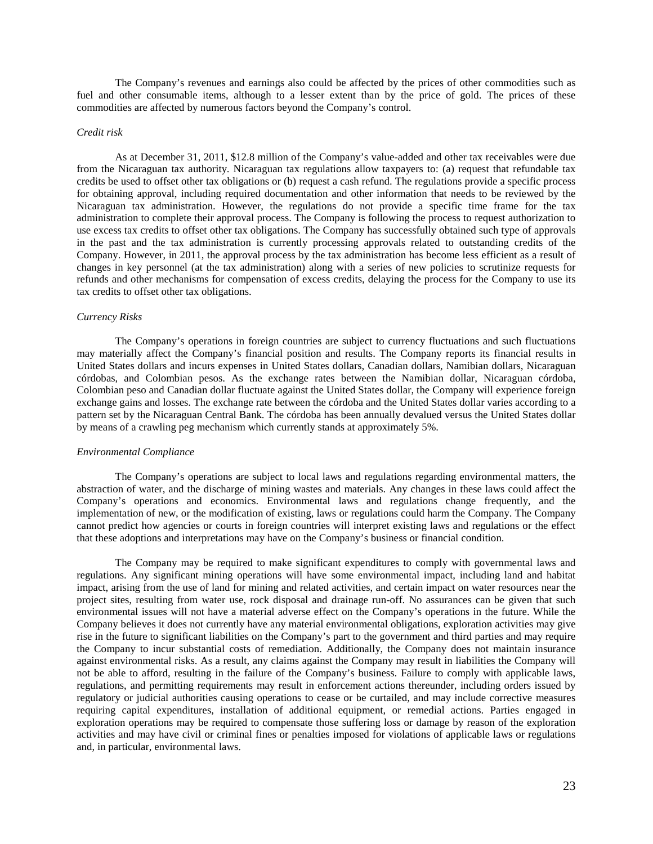The Company's revenues and earnings also could be affected by the prices of other commodities such as fuel and other consumable items, although to a lesser extent than by the price of gold. The prices of these commodities are affected by numerous factors beyond the Company's control.

#### *Credit risk*

As at December 31, 2011, \$12.8 million of the Company's value-added and other tax receivables were due from the Nicaraguan tax authority. Nicaraguan tax regulations allow taxpayers to: (a) request that refundable tax credits be used to offset other tax obligations or (b) request a cash refund. The regulations provide a specific process for obtaining approval, including required documentation and other information that needs to be reviewed by the Nicaraguan tax administration. However, the regulations do not provide a specific time frame for the tax administration to complete their approval process. The Company is following the process to request authorization to use excess tax credits to offset other tax obligations. The Company has successfully obtained such type of approvals in the past and the tax administration is currently processing approvals related to outstanding credits of the Company. However, in 2011, the approval process by the tax administration has become less efficient as a result of changes in key personnel (at the tax administration) along with a series of new policies to scrutinize requests for refunds and other mechanisms for compensation of excess credits, delaying the process for the Company to use its tax credits to offset other tax obligations.

#### *Currency Risks*

The Company's operations in foreign countries are subject to currency fluctuations and such fluctuations may materially affect the Company's financial position and results. The Company reports its financial results in United States dollars and incurs expenses in United States dollars, Canadian dollars, Namibian dollars, Nicaraguan córdobas, and Colombian pesos. As the exchange rates between the Namibian dollar, Nicaraguan córdoba, Colombian peso and Canadian dollar fluctuate against the United States dollar, the Company will experience foreign exchange gains and losses. The exchange rate between the córdoba and the United States dollar varies according to a pattern set by the Nicaraguan Central Bank. The córdoba has been annually devalued versus the United States dollar by means of a crawling peg mechanism which currently stands at approximately 5%.

#### *Environmental Compliance*

The Company's operations are subject to local laws and regulations regarding environmental matters, the abstraction of water, and the discharge of mining wastes and materials. Any changes in these laws could affect the Company's operations and economics. Environmental laws and regulations change frequently, and the implementation of new, or the modification of existing, laws or regulations could harm the Company. The Company cannot predict how agencies or courts in foreign countries will interpret existing laws and regulations or the effect that these adoptions and interpretations may have on the Company's business or financial condition.

The Company may be required to make significant expenditures to comply with governmental laws and regulations. Any significant mining operations will have some environmental impact, including land and habitat impact, arising from the use of land for mining and related activities, and certain impact on water resources near the project sites, resulting from water use, rock disposal and drainage run-off. No assurances can be given that such environmental issues will not have a material adverse effect on the Company's operations in the future. While the Company believes it does not currently have any material environmental obligations, exploration activities may give rise in the future to significant liabilities on the Company's part to the government and third parties and may require the Company to incur substantial costs of remediation. Additionally, the Company does not maintain insurance against environmental risks. As a result, any claims against the Company may result in liabilities the Company will not be able to afford, resulting in the failure of the Company's business. Failure to comply with applicable laws, regulations, and permitting requirements may result in enforcement actions thereunder, including orders issued by regulatory or judicial authorities causing operations to cease or be curtailed, and may include corrective measures requiring capital expenditures, installation of additional equipment, or remedial actions. Parties engaged in exploration operations may be required to compensate those suffering loss or damage by reason of the exploration activities and may have civil or criminal fines or penalties imposed for violations of applicable laws or regulations and, in particular, environmental laws.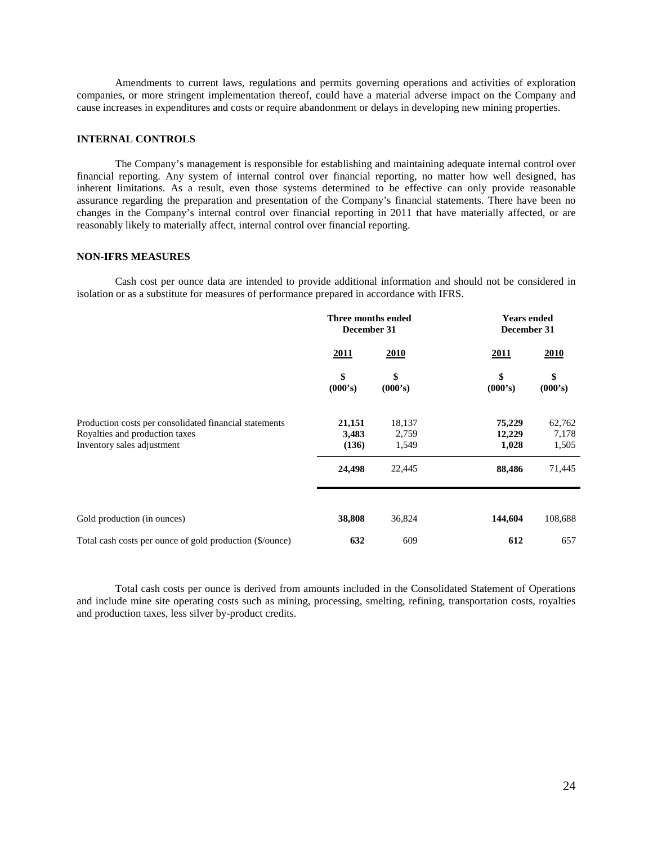Amendments to current laws, regulations and permits governing operations and activities of exploration companies, or more stringent implementation thereof, could have a material adverse impact on the Company and cause increases in expenditures and costs or require abandonment or delays in developing new mining properties.

# **INTERNAL CONTROLS**

The Company's management is responsible for establishing and maintaining adequate internal control over financial reporting. Any system of internal control over financial reporting, no matter how well designed, has inherent limitations. As a result, even those systems determined to be effective can only provide reasonable assurance regarding the preparation and presentation of the Company's financial statements. There have been no changes in the Company's internal control over financial reporting in 2011 that have materially affected, or are reasonably likely to materially affect, internal control over financial reporting.

## **NON-IFRS MEASURES**

Cash cost per ounce data are intended to provide additional information and should not be considered in isolation or as a substitute for measures of performance prepared in accordance with IFRS.

|                                                                                                                        | Three months ended<br>December 31 |                          | <b>Years ended</b><br>December 31 |                          |
|------------------------------------------------------------------------------------------------------------------------|-----------------------------------|--------------------------|-----------------------------------|--------------------------|
|                                                                                                                        | 2011                              | 2010                     | 2011                              | <b>2010</b>              |
|                                                                                                                        | \$<br>(000's)                     | \$<br>(000's)            | \$<br>(000's)                     | \$<br>(000's)            |
| Production costs per consolidated financial statements<br>Royalties and production taxes<br>Inventory sales adjustment | 21,151<br>3,483<br>(136)          | 18,137<br>2,759<br>1,549 | 75,229<br>12,229<br>1,028         | 62,762<br>7,178<br>1,505 |
|                                                                                                                        | 24,498                            | 22,445                   | 88,486                            | 71,445                   |
| Gold production (in ounces)                                                                                            | 38,808                            | 36,824                   | 144,604                           | 108,688                  |
| Total cash costs per ounce of gold production (\$/ounce)                                                               | 632                               | 609                      | 612                               | 657                      |

Total cash costs per ounce is derived from amounts included in the Consolidated Statement of Operations and include mine site operating costs such as mining, processing, smelting, refining, transportation costs, royalties and production taxes, less silver by-product credits.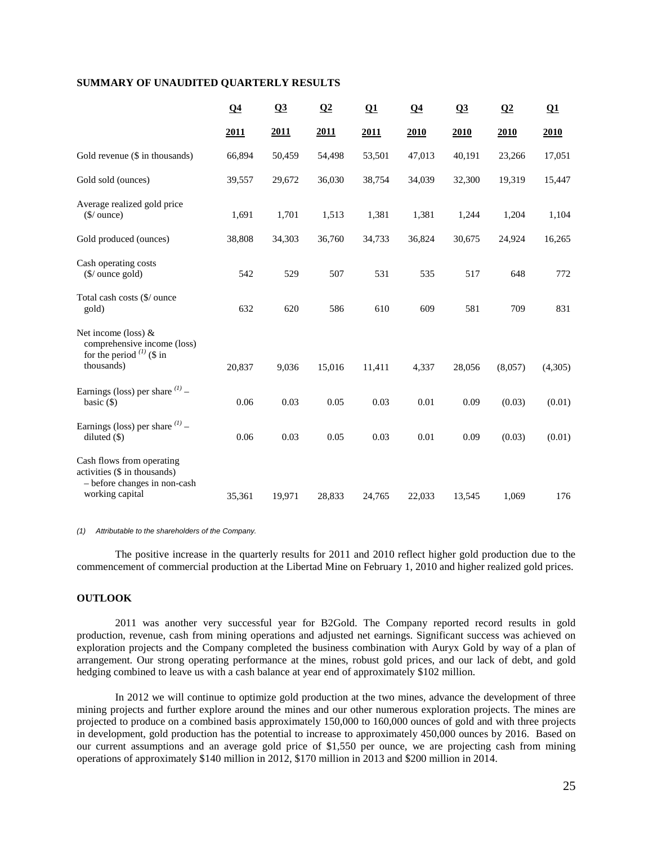# **SUMMARY OF UNAUDITED QUARTERLY RESULTS**

|                                                                                                              | Q <sub>4</sub> | Q <sub>3</sub> | $\Omega$ | $\Omega$ | $\Omega$ | Q <sub>3</sub> | $\Omega$ | Q1      |
|--------------------------------------------------------------------------------------------------------------|----------------|----------------|----------|----------|----------|----------------|----------|---------|
|                                                                                                              | 2011           | 2011           | 2011     | 2011     | 2010     | 2010           | 2010     | 2010    |
| Gold revenue (\$ in thousands)                                                                               | 66,894         | 50,459         | 54,498   | 53,501   | 47,013   | 40,191         | 23,266   | 17,051  |
| Gold sold (ounces)                                                                                           | 39,557         | 29,672         | 36,030   | 38,754   | 34,039   | 32,300         | 19,319   | 15,447  |
| Average realized gold price<br>$$/$ ounce)                                                                   | 1,691          | 1,701          | 1,513    | 1,381    | 1,381    | 1,244          | 1,204    | 1,104   |
| Gold produced (ounces)                                                                                       | 38,808         | 34,303         | 36,760   | 34,733   | 36,824   | 30,675         | 24,924   | 16,265  |
| Cash operating costs<br>$(\frac{\sqrt{2}}{2})$ ounce gold)                                                   | 542            | 529            | 507      | 531      | 535      | 517            | 648      | 772     |
| Total cash costs (\$/ ounce<br>gold)                                                                         | 632            | 620            | 586      | 610      | 609      | 581            | 709      | 831     |
| Net income (loss) $&$<br>comprehensive income (loss)<br>for the period $(1)$ (\$ in                          |                |                |          |          |          |                |          |         |
| thousands)                                                                                                   | 20,837         | 9,036          | 15,016   | 11,411   | 4,337    | 28,056         | (8,057)  | (4,305) |
| Earnings (loss) per share $^{(1)}$ –<br>basic $(\$)$                                                         | 0.06           | 0.03           | 0.05     | 0.03     | 0.01     | 0.09           | (0.03)   | (0.01)  |
| Earnings (loss) per share $(1)$ –<br>diluted $(S)$                                                           | 0.06           | 0.03           | 0.05     | 0.03     | 0.01     | 0.09           | (0.03)   | (0.01)  |
| Cash flows from operating<br>activities (\$ in thousands)<br>- before changes in non-cash<br>working capital | 35,361         | 19,971         | 28,833   | 24,765   | 22,033   | 13,545         | 1,069    | 176     |

*(1) Attributable to the shareholders of the Company.* 

The positive increase in the quarterly results for 2011 and 2010 reflect higher gold production due to the commencement of commercial production at the Libertad Mine on February 1, 2010 and higher realized gold prices.

# **OUTLOOK**

2011 was another very successful year for B2Gold. The Company reported record results in gold production, revenue, cash from mining operations and adjusted net earnings. Significant success was achieved on exploration projects and the Company completed the business combination with Auryx Gold by way of a plan of arrangement. Our strong operating performance at the mines, robust gold prices, and our lack of debt, and gold hedging combined to leave us with a cash balance at year end of approximately \$102 million.

In 2012 we will continue to optimize gold production at the two mines, advance the development of three mining projects and further explore around the mines and our other numerous exploration projects. The mines are projected to produce on a combined basis approximately 150,000 to 160,000 ounces of gold and with three projects in development, gold production has the potential to increase to approximately 450,000 ounces by 2016. Based on our current assumptions and an average gold price of \$1,550 per ounce, we are projecting cash from mining operations of approximately \$140 million in 2012, \$170 million in 2013 and \$200 million in 2014.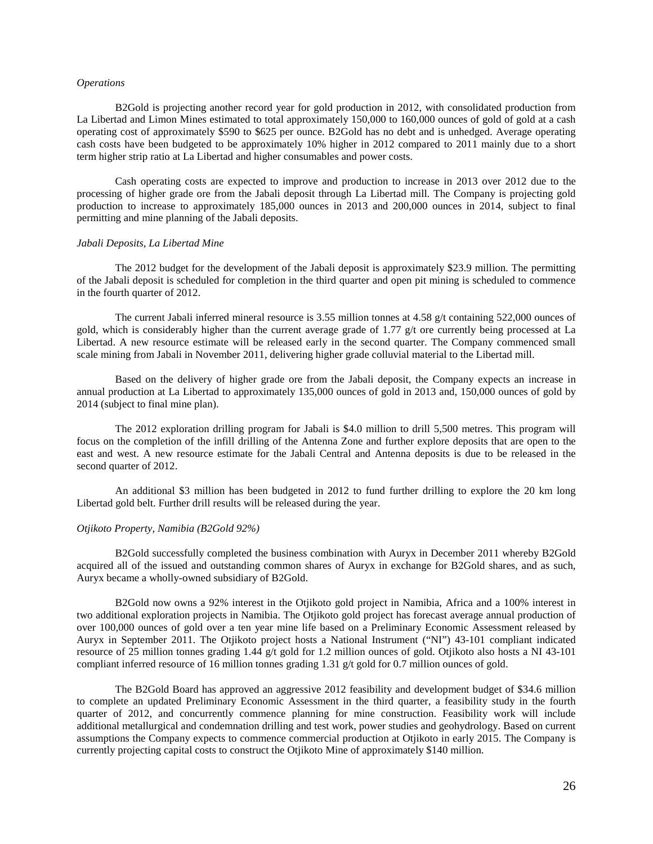#### *Operations*

B2Gold is projecting another record year for gold production in 2012, with consolidated production from La Libertad and Limon Mines estimated to total approximately 150,000 to 160,000 ounces of gold of gold at a cash operating cost of approximately \$590 to \$625 per ounce. B2Gold has no debt and is unhedged. Average operating cash costs have been budgeted to be approximately 10% higher in 2012 compared to 2011 mainly due to a short term higher strip ratio at La Libertad and higher consumables and power costs.

Cash operating costs are expected to improve and production to increase in 2013 over 2012 due to the processing of higher grade ore from the Jabali deposit through La Libertad mill. The Company is projecting gold production to increase to approximately 185,000 ounces in 2013 and 200,000 ounces in 2014, subject to final permitting and mine planning of the Jabali deposits.

### *Jabali Deposits, La Libertad Mine*

The 2012 budget for the development of the Jabali deposit is approximately \$23.9 million. The permitting of the Jabali deposit is scheduled for completion in the third quarter and open pit mining is scheduled to commence in the fourth quarter of 2012.

The current Jabali inferred mineral resource is 3.55 million tonnes at 4.58 g/t containing 522,000 ounces of gold, which is considerably higher than the current average grade of 1.77  $g/t$  ore currently being processed at La Libertad. A new resource estimate will be released early in the second quarter. The Company commenced small scale mining from Jabali in November 2011, delivering higher grade colluvial material to the Libertad mill.

Based on the delivery of higher grade ore from the Jabali deposit, the Company expects an increase in annual production at La Libertad to approximately 135,000 ounces of gold in 2013 and, 150,000 ounces of gold by 2014 (subject to final mine plan).

The 2012 exploration drilling program for Jabali is \$4.0 million to drill 5,500 metres. This program will focus on the completion of the infill drilling of the Antenna Zone and further explore deposits that are open to the east and west. A new resource estimate for the Jabali Central and Antenna deposits is due to be released in the second quarter of 2012.

An additional \$3 million has been budgeted in 2012 to fund further drilling to explore the 20 km long Libertad gold belt. Further drill results will be released during the year.

#### *Otjikoto Property, Namibia (B2Gold 92%)*

B2Gold successfully completed the business combination with Auryx in December 2011 whereby B2Gold acquired all of the issued and outstanding common shares of Auryx in exchange for B2Gold shares, and as such, Auryx became a wholly-owned subsidiary of B2Gold.

B2Gold now owns a 92% interest in the Otjikoto gold project in Namibia, Africa and a 100% interest in two additional exploration projects in Namibia. The Otjikoto gold project has forecast average annual production of over 100,000 ounces of gold over a ten year mine life based on a Preliminary Economic Assessment released by Auryx in September 2011. The Otjikoto project hosts a National Instrument ("NI") 43-101 compliant indicated resource of 25 million tonnes grading 1.44 g/t gold for 1.2 million ounces of gold. Otjikoto also hosts a NI 43-101 compliant inferred resource of 16 million tonnes grading 1.31 g/t gold for 0.7 million ounces of gold.

The B2Gold Board has approved an aggressive 2012 feasibility and development budget of \$34.6 million to complete an updated Preliminary Economic Assessment in the third quarter, a feasibility study in the fourth quarter of 2012, and concurrently commence planning for mine construction. Feasibility work will include additional metallurgical and condemnation drilling and test work, power studies and geohydrology. Based on current assumptions the Company expects to commence commercial production at Otjikoto in early 2015. The Company is currently projecting capital costs to construct the Otjikoto Mine of approximately \$140 million.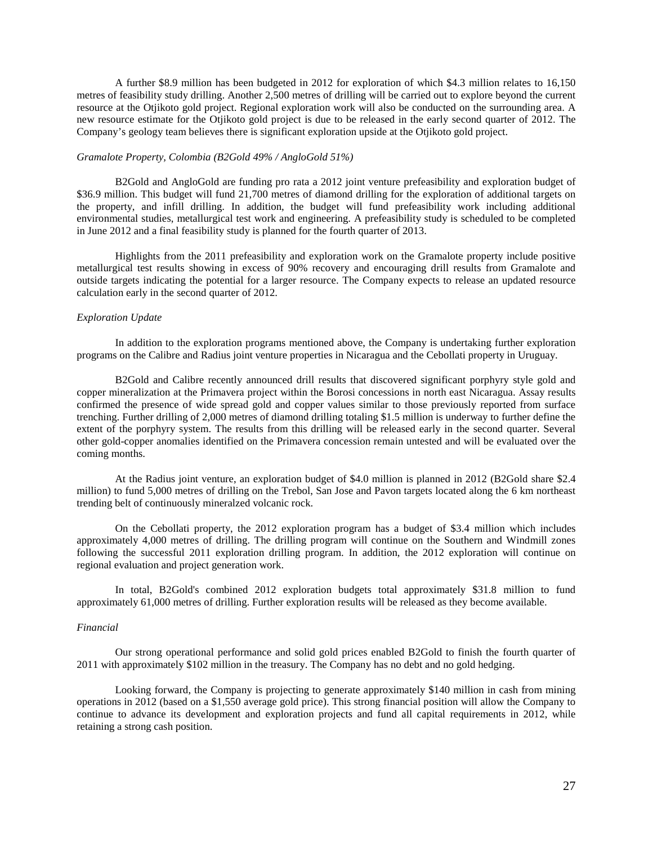A further \$8.9 million has been budgeted in 2012 for exploration of which \$4.3 million relates to 16,150 metres of feasibility study drilling. Another 2,500 metres of drilling will be carried out to explore beyond the current resource at the Otjikoto gold project. Regional exploration work will also be conducted on the surrounding area. A new resource estimate for the Otjikoto gold project is due to be released in the early second quarter of 2012. The Company's geology team believes there is significant exploration upside at the Otjikoto gold project.

## *Gramalote Property, Colombia (B2Gold 49% / AngloGold 51%)*

B2Gold and AngloGold are funding pro rata a 2012 joint venture prefeasibility and exploration budget of \$36.9 million. This budget will fund 21,700 metres of diamond drilling for the exploration of additional targets on the property, and infill drilling. In addition, the budget will fund prefeasibility work including additional environmental studies, metallurgical test work and engineering. A prefeasibility study is scheduled to be completed in June 2012 and a final feasibility study is planned for the fourth quarter of 2013.

Highlights from the 2011 prefeasibility and exploration work on the Gramalote property include positive metallurgical test results showing in excess of 90% recovery and encouraging drill results from Gramalote and outside targets indicating the potential for a larger resource. The Company expects to release an updated resource calculation early in the second quarter of 2012.

## *Exploration Update*

In addition to the exploration programs mentioned above, the Company is undertaking further exploration programs on the Calibre and Radius joint venture properties in Nicaragua and the Cebollati property in Uruguay.

B2Gold and Calibre recently announced drill results that discovered significant porphyry style gold and copper mineralization at the Primavera project within the Borosi concessions in north east Nicaragua. Assay results confirmed the presence of wide spread gold and copper values similar to those previously reported from surface trenching. Further drilling of 2,000 metres of diamond drilling totaling \$1.5 million is underway to further define the extent of the porphyry system. The results from this drilling will be released early in the second quarter. Several other gold-copper anomalies identified on the Primavera concession remain untested and will be evaluated over the coming months.

At the Radius joint venture, an exploration budget of \$4.0 million is planned in 2012 (B2Gold share \$2.4 million) to fund 5,000 metres of drilling on the Trebol, San Jose and Pavon targets located along the 6 km northeast trending belt of continuously mineralzed volcanic rock.

On the Cebollati property, the 2012 exploration program has a budget of \$3.4 million which includes approximately 4,000 metres of drilling. The drilling program will continue on the Southern and Windmill zones following the successful 2011 exploration drilling program. In addition, the 2012 exploration will continue on regional evaluation and project generation work.

In total, B2Gold's combined 2012 exploration budgets total approximately \$31.8 million to fund approximately 61,000 metres of drilling. Further exploration results will be released as they become available.

#### *Financial*

Our strong operational performance and solid gold prices enabled B2Gold to finish the fourth quarter of 2011 with approximately \$102 million in the treasury. The Company has no debt and no gold hedging.

Looking forward, the Company is projecting to generate approximately \$140 million in cash from mining operations in 2012 (based on a \$1,550 average gold price). This strong financial position will allow the Company to continue to advance its development and exploration projects and fund all capital requirements in 2012, while retaining a strong cash position.